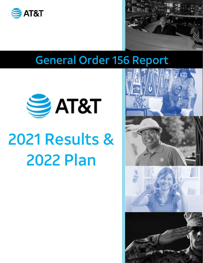



# General Order 156 Report



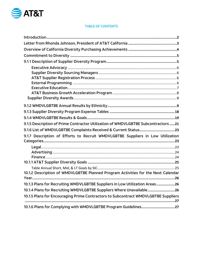

#### TABLE OF CONTENTS

| 9.1.5 Description of Prime Contractor Utilization of WMDVLGBTBE Subcontractors 21  |
|------------------------------------------------------------------------------------|
|                                                                                    |
| 9.1.7 Description of Efforts to Recruit WMDVLGBTBE Suppliers in Low Utilization    |
|                                                                                    |
|                                                                                    |
|                                                                                    |
|                                                                                    |
|                                                                                    |
| 10.1.2 Description of WMDVLGBTBE Planned Program Activities for the Next Calendar  |
|                                                                                    |
| 10.1.3 Plans for Recruiting WMDVLGBTBE Suppliers in Low Utilization Areas<br>.26   |
| 10.1.4 Plans for Recruiting WMDVLGBTBE Suppliers Where Unavailable26               |
| 10.1.5 Plans for Encouraging Prime Contractors to Subcontract WMDVLGBTBE Suppliers |
| 10.1.6 Plans for Complying with WMDVLGBTBE Program Guidelines27                    |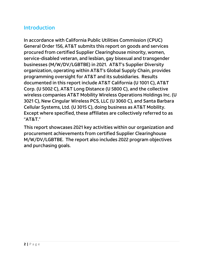# <span id="page-2-0"></span>**Introduction**

In accordance with California Public Utilities Commission (CPUC) General Order 156, AT&T submits this report on goods and services procured from certified Supplier Clearinghouse minority, women, service-disabled veteran, and lesbian, gay bisexual and transgender businesses (M/W/DV/LGBTBE) in 2021. AT&T's Supplier Diversity organization, operating within AT&T's Global Supply Chain, provides programming oversight for AT&T and its subsidiaries. Results documented in this report include AT&T California (U 1001 C), AT&T Corp. (U 5002 C), AT&T Long Distance (U 5800 C), and the collective wireless companies AT&T Mobility Wireless Operations Holdings Inc. (U 3021 C), New Cingular Wireless PCS, LLC (U 3060 C), and Santa Barbara Cellular Systems, Ltd. (U 3015 C), doing business as AT&T Mobility. Except where specified, these affiliates are collectively referred to as "AT&T."

This report showcases 2021 key activities within our organization and procurement achievements from certified Supplier Clearinghouse M/W/DV/LGBTBE. The report also includes 2022 program objectives and purchasing goals.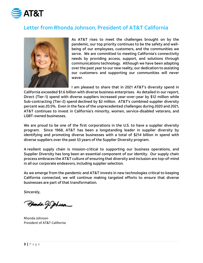

# <span id="page-3-0"></span>Letter from Rhonda Johnson, President of AT&T California



As AT&T rises to meet the challenges brought on by the pandemic, our top priority continues to be the safety and wellbeing of our employees, customers, and the communities we serve. We are committed to meeting California's connectivity needs by providing access, support, and solutions through communications technology. Although we have been adapting over the past year to our new reality, our dedication to assisting our customers and supporting our communities will never waver.

I am pleased to share that in 2021 AT&T's diversity spend in California exceeded \$1.6 billion with diverse business enterprises. As detailed in our report, Direct (Tier-1) spend with diverse suppliers increased year-over-year by \$12 million while Sub-contracting (Tier-2) spend declined by \$2 million. AT&T's combined supplier diversity percent was 20.5%. Even in the face of the unprecedented challenges during 2020 and 2021, AT&T continues to invest in California's minority, women, service-disabled veterans, and LGBT-owned businesses.

We are proud to be one of the first corporations in the U.S. to have a supplier diversity program. Since 1968, AT&T has been a longstanding leader in supplier diversity by identifying and promoting diverse businesses with a total of \$214 billion in spend with diverse suppliers over the past 53 years of the Supplier Diversity program.

A resilient supply chain is mission-critical to supporting our business operations, and Supplier Diversity has long been an essential component of our identity. Our supply chain process embraces the AT&T culture of ensuring that diversity and inclusion are top-of-mind in all our corporate endeavors, including supplier selection.

As we emerge from the pandemic and AT&T invests in new technologies critical to keeping California connected, we will continue making targeted efforts to ensure that diverse businesses are part of that transformation*.*

Sincerely,

Phonda J. Johann

Rhonda Johnson President of AT&T California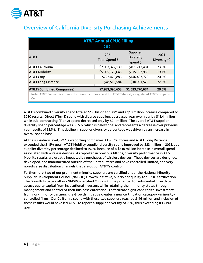

# <span id="page-4-0"></span>Overview of California Diversity Purchasing Achievements

|                                                                                                           | <b>AT&amp;T Annual CPUC Filling</b><br>2021 |                                   |                     |
|-----------------------------------------------------------------------------------------------------------|---------------------------------------------|-----------------------------------|---------------------|
| <b>AT&amp;T</b>                                                                                           | 2021<br>Total Spend \$                      | Supplier<br>Diversity<br>Spend \$ | 2021<br>Diversity % |
| <b>AT&amp;T California</b>                                                                                | \$2,067,322,139                             | \$491,217,481                     | 23.8%               |
| <b>AT&amp;T Mobility</b>                                                                                  | \$5,095,123,045                             | \$975,137,953                     | 19.1%               |
| <b>AT&amp;T</b> Corp                                                                                      | \$722,429,886                               | \$146,483,720                     | 20.3%               |
| <b>AT&amp;T Long Distance</b>                                                                             | \$48,515,584                                | \$10,931,520                      | 22.5%               |
| <b>AT&amp;T (Combined Companies)</b>                                                                      | \$7,933,390,653                             | \$1,623,770,674                   | 20.5%               |
| Note: AT&T Communications subsidiary includes spend for AT&T Teleport, a registered AT&T company in<br>CA |                                             |                                   |                     |

AT&T's combined diversity spend totaled \$1.6 billion for 2021 and a \$10 million increase compared to 2020 results. Direct (Tier-1) spend with diverse suppliers decreased year over year by \$12.4 million while sub-contracting (Tier-2) spend decreased only by \$2.1 million. The overall AT&T supplier diversity spend percentage was 20.5%, which is below goal and represents a decrease over previous year results of 21.1%. This decline in supplier diversity percentage was driven by an increase in overall spend base.

At the subsidiary level, GO 156‐reporting companies AT&T California and AT&T Long Distance exceeded the 21.5% goal. AT&T Mobility supplier diversity spend improved by \$23 million in 2021, but supplier diversity percentage declined to 19.1% because of a \$240 million increase in overall spend associated with wireless devices. As reported in previous fillings, diversity performance in AT&T Mobility results are greatly impacted by purchases of wireless devices. These devices are designed, developed, and manufactured outside of the United States and have controlled, limited, and very non‐diverse distribution channels that are out of AT&T's control.

Furthermore, two of our prominent minority suppliers are certified under the National Minority Supplier Development Council (NMSDC) Growth Initiative, but do not qualify for CPUC certification. The Growth Initiative allows NMSDC-certified MBEs with the potential for substantial growth to access equity capital from institutional investors while retaining their minority status through management and control of their business enterprise. To facilitate significant capital investment from non-minority partners, the Growth Initiative creates a new certification category – minoritycontrolled firms. Our California spend with these two suppliers reached \$116 million and inclusion of these results would have led AT&T to report a supplier diversity of 22%, thus exceeding its CPUC goal.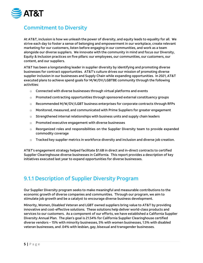

### <span id="page-5-0"></span>Commitment to Diversity

At AT&T, inclusion is how we unleash the power of diversity, and equity leads to equality for all. We strive each day to foster a sense of belonging and empowerment in our workplace, create relevant marketing for our customers, listen before engaging in our communities, and work as a team alongside our diverse suppliers. We innovate with the community in mind and focus our Diversity, Equity & Inclusion practices on five pillars: our employees, our communities, our customers, our content, and our suppliers.

AT&T has been a longstanding leader in supplier diversity by identifying and promoting diverse businesses for contract opportunities. AT&T's culture drives our mission of promoting diverse supplier inclusion in our businesses and Supply Chain while expanding opportunities. In 2021, AT&T executed plans to achieve spend goals for M/W/DV/LGBTBE community through the following activities:

- $\circ$  Connected with diverse businesses through virtual platforms and events
- $\circ$  Promoted contracting opportunities through sponsored external constituency groups
- $\circ$  Recommended M/W/DV/LGBT business enterprises for corporate contracts through RFPs
- $\circ$  Monitored, measured, and communicated with Prime Suppliers for greater engagement
- $\circ$  Strengthened internal relationships with business units and supply chain leaders
- o Promoted executive engagement with diverse businesses
- o Reorganized roles and responsibilities on the Supplier Diversity team to provide expanded commodity coverage
- $\circ$  Tracked key supplier metrics in workforce diversity and inclusion and diverse job creation.

AT&T's engagement strategy helped facilitate \$1.6B in direct and in-direct contracts to certified Supplier Clearinghouse diverse businesses in California. This report provides a description of key initiatives executed last year to expand opportunities for diverse businesses.

### <span id="page-5-1"></span>9.1.1 Description of Supplier Diversity Program

Our Supplier Diversity program seeks to make meaningful and measurable contributions to the economic growth of diverse companies and communities. Through our program, we aim to stimulate job growth and be a catalyst to encourage diverse business development.

Minority, Women, Disabled Veteran and LGBT owned suppliers bring value to AT&T by providing innovative and cost-effective solutions. These solutions help deliver world-class products and services to our customers. As a component of our efforts, we have established a California Supplier Diversity Annual Plan. The plan's goal is 21.54% for California Supplier Clearinghouse certified diverse vendors – 15% with minority businesses, 5% with women businesses, 1.5% with disabled veteran businesses, and .04% with lesbian, gay, bisexual and transgender businesses.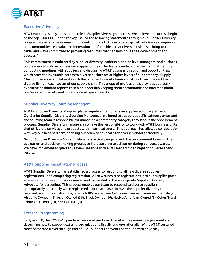

#### <span id="page-6-0"></span>Executive Advocacy

AT&T executives play an essential role in Supplier Diversity's success. We believe our success begins at the top. Our CEO, John Stankey, issued the following statement "Through our Supplier Diversity program, we aim to make meaningful contributions to the economic growth of diverse companies and communities. We value the innovation and fresh ideas that diverse businesses bring to the table, and we're committed to providing resources that can help drive their development and success."

This commitment is embraced by supplier diversity leadership, senior-level managers, and business unit leaders who drive our business opportunities. Our leaders underscore their commitment by conducting meetings with suppliers and discussing AT&T business direction and opportunities, which provides invaluable access to diverse businesses at higher levels of our company. Supply Chain professionals collaborate with the Supplier Diversity team and strive to include certified diverse firms in each sector of our supply chain. This group of professionals provides quarterly executive dashboard reports to senior leadership keeping them accountable and informed about our Supplier Diversity metrics and overall spend results.

#### <span id="page-6-1"></span>Supplier Diversity Sourcing Managers

AT&T's Supplier Diversity Program places significant emphasis on supplier advocacy efforts. Our Senior Supplier Diversity Sourcing Managers are aligned to support specific category areas and the sourcing team is responsible for managing a commodity category throughout the procurement process. Supplier Diversity managers also have the responsibility to work with AT&T business units that utilize the services and products within each category. This approach has allowed collaboration with key business partners, enabling our team to advocate for diverse vendors effectively.

Senior Supplier Diversity Sourcing Managers actively engage with the procurement teams in the evaluation and decision-making process to increase diverse utilization during contract awards. We have implemented quarterly review sessions with AT&T leadership to highlight diverse spend results.

#### <span id="page-6-2"></span>AT&T Supplier Registration Process

AT&T Supplier Diversity has established a process to respond to all new diverse supplier registrations upon completing registration. All new submitted registrations into our supplier portal at [www.attsuppliers.com](http://www.attsuppliers.com/) are reviewed and forwarded to the appropriate Supplier Diversity Advocate for screening. This process enables our team to respond to diverse suppliers appropriately and timely when registered in our database. In 2021, the supplier diversity team received over 900 registrations, of which 18% were from California diverse businesses: Female (75), Hispanic Owned (45), Asian Owned (36), Black Owned (16), Native American Owned (5), Other/Multi-Ethnic (27), DVBE (11), and LGBTQ+ (8).

#### <span id="page-6-3"></span>External Programming

Early in 2020, the COVID-19 pandemic required our team to make programming adjustments to determine how to support external organizations fiscally and operationally. While AT&T curtailed most corporate travel through end of 2021, support for events continued with advocacy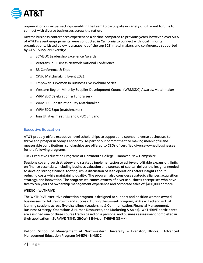

organizations in virtual settings, enabling the team to participate in variety of different forums to connect with diverse businesses across the nation.

Diverse business conferences experienced a decline compared to previous years; however, over 50% of AT&T's event engagements were conducted in California to connect with local minority organizations. Listed below is a snapshot of the top 2021 matchmakers and conferences supported by AT&T Supplier Diversity:

- o SCMSDC Leadership Excellence Awards
- o Veterans in Business Network National Conference
- o B3 Conference & Expo
- o CPUC Matchmaking Event 2021
- o Empower U Women in Business Live Webinar Series
- o Western Region Minority Supplier Development Council (WRMSDC) Awards/Matchmaker
- o WRMSDC Celebration & Fundraiser -
- o WRMSDC Construction Day Matchmaker
- o WRMSDC Expo (matchmaker)
- o Join Utilities meetings and CPUC En Banc

#### <span id="page-7-0"></span>Executive Education

AT&T proudly offers executive-level scholarships to support and sponsor diverse businesses to thrive and prosper in today's economy. As part of our commitment to making meaningful and measurable contributions, scholarships are offered to CEOs of certified diverse-owned businesses for the following programs

Tuck Executive Education Programs at Dartmouth College - Hanover, New Hampshire

Sessions cover growth strategy and strategy implementation to achieve profitable expansion. Units on finance essentials, including business valuation and sources of capital, deliver the insights needed to develop strong financial footing, while discussion of lean operations offers insights about reducing costs while maintaining quality. The program also considers strategic alliances, acquisition strategy, and innovation. The program welcomes owners of diverse business enterprises who have five to ten years of ownership management experience and corporate sales of \$400,000 or more.

#### WBENC – WeTHRIVE

The WeTHRIVE executive education program is designed to support and position woman owned businesses for future growth and success. During the 8-week program, WBEs will attend virtual learning sessions across five disciplines (Leadership & Communication, Financial Management, Business Strategy, Operations & Human Resources, and Marketing & Sales). WeTHRIVE participants are assigned one of three course tracks based on a personal and business assessment completed in their application – SURVIVE (\$1M), GROW (\$1M+), or THRIVE (\$5M+).

Kellogg School of Management at Northwestern University – Evanston, Illinois. Advanced Management Education Program (AMEP) - NMSDC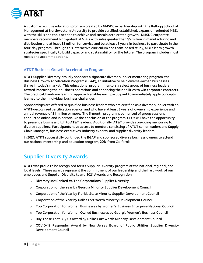

A custom executive education program created by NMSDC in partnership with the Kellogg School of Management at Northwestern University to provide certified, established, expansion-oriented MBEs with the skills and tools needed to achieve and sustain accelerated growth. NMSDC corporate members recommend high-potential MBEs with sales greater than \$5 million in manufacturing and distribution and at least \$3 million for service and be at least 3 years in business to participate in the four-day program. Through this interactive curriculum and team-based study, MBEs learn growth strategies specifically to build capacity and sustainability for the future. The program includes most meals and accommodations.

#### <span id="page-8-0"></span>AT&T Business Growth Acceleration Program

AT&T Supplier Diversity proudly sponsors a signature diverse supplier mentoring program, the Business Growth Acceleration Program (BGAP), an initiative to help diverse-owned businesses thrive in today's market. This educational program mentors a select group of business leaders toward improving their business operations and enhancing their abilities to win corporate contracts. The practical, hands-on learning approach enables each participant to immediately apply concepts learned to their individual business challenges.

Sponsorships are offered to qualified business leaders who are certified as a diverse supplier with an AT&T-recognized certification agency, and who have at least 3 years of ownership experience and annual revenue of \$1 million or more. The 5-month program is comprised of group sessions conducted online and in person. At the conclusion of the program, CEOs will have the opportunity to present a business pitch to AT&T leaders. Additionally, AT&T provides on-going mentoring to diverse suppliers. Participants have access to mentors consisting of AT&T senior leaders and Supply Chain Managers, business executives, industry experts, and supplier diversity leaders.

In 2021, AT&T successfully continued the BGAP and sponsored diverse business owners to attend our national mentorship and education program, **20%** from California.

# <span id="page-8-1"></span>Supplier Diversity Awards

AT&T was proud to be recognized for its Supplier Diversity program at the national, regional, and local levels. These awards represent the commitment of our leadership and the hard work of our employees and Supplier Diversity team. 2021 Awards and Recognition:

- o Diversity Inc: Ranked #4 Top Corporations Supplier Diversity
- $\circ$  Corporation of the Year by Georgia Minority Supplier Development Council
- $\circ$  Corporation of the Year by Florida State Minority Supplier Development Council
- $\circ$  Corporation of the Year by Dallas Fort Worth Minority Development Council
- o Top Corporation for Women Businesses by Women's Business Enterprise National Council
- $\circ$  Top Corporation for Women Owned Businesses by Georgia Women's Business Council
- o Buy Those That Buy Us Award by Dallas Fort Worth Minority Development Council
- o COVID-19 Responder Award by New Jersey Board of Public Utilities Supplier Diversity Development Council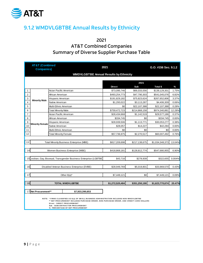

# <span id="page-9-0"></span>9.1.2 WMDVLGBTBE Annual Results by Ethnicity

2021 AT&T Combined Companies Summary of Diverse Supplier Purchase Table

|                | <b>AT&amp;T (Combined</b><br><b>Companies)</b> |                                                                                                                                                                                                                                                                                             | 2021            |               |                 |               |  |  |  |
|----------------|------------------------------------------------|---------------------------------------------------------------------------------------------------------------------------------------------------------------------------------------------------------------------------------------------------------------------------------------------|-----------------|---------------|-----------------|---------------|--|--|--|
|                |                                                | <b>WMDVLGBTBE Annual Results by Ethnicity</b>                                                                                                                                                                                                                                               |                 |               |                 |               |  |  |  |
|                |                                                |                                                                                                                                                                                                                                                                                             |                 |               |                 |               |  |  |  |
|                |                                                |                                                                                                                                                                                                                                                                                             |                 | 2021          |                 |               |  |  |  |
|                |                                                |                                                                                                                                                                                                                                                                                             | <b>Direct</b>   | Sub           | <b>Total \$</b> | $\frac{9}{6}$ |  |  |  |
| $\mathbf{1}$   |                                                | Asian Pacific American                                                                                                                                                                                                                                                                      | \$73,095,746    | \$66,033,556  | \$139,129,301   | 1.75%         |  |  |  |
| $\mathbf{2}$   |                                                | African American                                                                                                                                                                                                                                                                            | \$493,254,773   | \$47,790,303  | \$541,045,076   | 6.82%         |  |  |  |
| 3              |                                                | Hispanic American                                                                                                                                                                                                                                                                           | \$191,829,182   | \$75,823,624  | \$267,652,806   | 3.37%         |  |  |  |
| $\overline{4}$ | <b>Minority Male</b>                           | Native American                                                                                                                                                                                                                                                                             | \$1,293,022     | \$3,113,287   | \$4,406,309     | 0.06%         |  |  |  |
| 5              |                                                | Multi-Ethnic American                                                                                                                                                                                                                                                                       | \$0             | \$22,107,388  | \$22,107,388    | 0.28%         |  |  |  |
| 6              |                                                | <b>Total Minority Male</b>                                                                                                                                                                                                                                                                  | \$759,472,723   | \$214,868,158 | \$974,340,881   | 12.28%        |  |  |  |
| $\overline{7}$ |                                                | Asian Pacific American                                                                                                                                                                                                                                                                      | \$28,434,668    | \$1,142,519   | \$29,577,186    | 0.37%         |  |  |  |
| 8              |                                                | African American                                                                                                                                                                                                                                                                            | \$334,745       | \$0           | \$334,745       | 0.00%         |  |  |  |
| 9              |                                                | Hispanic American                                                                                                                                                                                                                                                                           | \$28,939,506    | \$1,113,771   | \$30,053,277    | 0.38%         |  |  |  |
| 10             | <b>Minority Female</b>                         | Native American                                                                                                                                                                                                                                                                             | \$28,057        | \$14,227      |                 | 0.00%         |  |  |  |
| 11             |                                                | Multi-Ethnic American                                                                                                                                                                                                                                                                       | \$0             | \$0           | \$0             | 0.00%         |  |  |  |
| 12             |                                                | <b>Total Minority Female</b>                                                                                                                                                                                                                                                                | \$57,736,975    | \$2,270,517   | \$60,007,492    | 0.76%         |  |  |  |
|                |                                                |                                                                                                                                                                                                                                                                                             |                 |               |                 |               |  |  |  |
| 13             |                                                | <b>Total Minority Business Enterprise (MBE)</b>                                                                                                                                                                                                                                             | \$817,209,698   | \$217,138,675 | \$1,034,348,373 | 13.04%        |  |  |  |
|                |                                                |                                                                                                                                                                                                                                                                                             |                 |               |                 |               |  |  |  |
| 14             |                                                | Women Business Enterprise (WBE)                                                                                                                                                                                                                                                             | \$418,868,181   | \$128,812,774 | \$547,680,955   | 6.90%         |  |  |  |
|                |                                                |                                                                                                                                                                                                                                                                                             |                 |               |                 |               |  |  |  |
|                |                                                | 15 Lesbian, Gay, Bisexual, Transgender Business Enterprise (LGBTBE                                                                                                                                                                                                                          | \$43,716        | \$278,939     | \$322,655       | 0.004%        |  |  |  |
|                |                                                |                                                                                                                                                                                                                                                                                             |                 |               |                 |               |  |  |  |
| 16             |                                                | Disabled Veteran Business Enterprise (DVBE)                                                                                                                                                                                                                                                 | \$28.949.769    | \$5.019.801   | \$33.969.570    | 0.43%         |  |  |  |
|                |                                                |                                                                                                                                                                                                                                                                                             |                 |               |                 |               |  |  |  |
| 17             |                                                | Other $8(a)^*$                                                                                                                                                                                                                                                                              | \$7,449,121     | \$0           | \$7,449,121     | 0.09%         |  |  |  |
|                |                                                |                                                                                                                                                                                                                                                                                             |                 |               |                 |               |  |  |  |
| 18             |                                                | \$1,623,770,674                                                                                                                                                                                                                                                                             | 20.47%          |               |                 |               |  |  |  |
|                |                                                | <b>TOTAL WMDVLGBTBE</b>                                                                                                                                                                                                                                                                     | \$1,272,520,484 | \$351,250,190 |                 |               |  |  |  |
|                | 17 Net Procurement**                           | \$7,933,390,653                                                                                                                                                                                                                                                                             |                 |               |                 |               |  |  |  |
|                |                                                | NOTE: * FIRMS CLASSIFIED AS 8(a) OF SMALL BUSINESS ADMINISTRATION INCLUDES NON-WMDVLGBTBE<br>** NET PROCUREM ENT INCLUDES PURCHASE ORDER, NON-PURCHASE ORDER, AND CREDIT CARD DOLLARS<br>Direct - DIRECT PROCUREMENT<br>Sub - SUBCONTRACTOR PROCUREMENT<br>%- PERCENTAGE OF NET PROCUREMENT |                 |               |                 |               |  |  |  |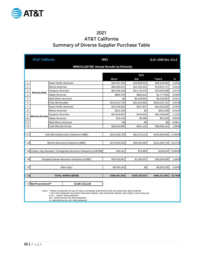

### 2021 AT&T California Summary of Diverse Supplier Purchase Table

|                | <b>AT&amp;T California</b> |                              |                                                                                                                                                                                                                                                                                                      | 2021          | G.O. #156 Sec. 9.1.2 |               |          |
|----------------|----------------------------|------------------------------|------------------------------------------------------------------------------------------------------------------------------------------------------------------------------------------------------------------------------------------------------------------------------------------------------|---------------|----------------------|---------------|----------|
|                |                            |                              | <b>WMDVLGBTBE Annual Results by Ethnicity</b>                                                                                                                                                                                                                                                        |               |                      |               |          |
|                |                            |                              |                                                                                                                                                                                                                                                                                                      |               |                      |               |          |
|                |                            |                              |                                                                                                                                                                                                                                                                                                      |               | 2021                 |               |          |
|                |                            |                              |                                                                                                                                                                                                                                                                                                      | <b>Direct</b> | Sub                  | Total \$      | %        |
| 1              |                            | Asian Pacific American       |                                                                                                                                                                                                                                                                                                      | \$29,397,180  | \$18,936,824         | \$48,334,004  | 2.34%    |
| $\overline{2}$ |                            | African American             |                                                                                                                                                                                                                                                                                                      | \$58,936,615  | \$13,705,101         | \$72,641,717  | 3.51%    |
| 3              | <b>Minority Male</b>       | Hispanic American            |                                                                                                                                                                                                                                                                                                      | \$54,196,189  | \$21,744,379         | \$75,940,568  | 3.67%    |
| $\overline{4}$ |                            | Native American              |                                                                                                                                                                                                                                                                                                      | \$884,754     | \$892,815            | \$1,777,569   | 0.09%    |
| 5              |                            | Multi-Ethnic American        |                                                                                                                                                                                                                                                                                                      | \$0           | \$6,339,863          | \$6,339,863   | 0.31%    |
| 6              |                            | <b>Total Minority Male</b>   |                                                                                                                                                                                                                                                                                                      | \$143,414,739 | \$61,618,983         | \$205,033,722 | 9.92%    |
| $\overline{7}$ |                            | Asian Pacific American       |                                                                                                                                                                                                                                                                                                      | \$15,204,955  | \$327,647            | \$15,532,602  | 0.75%    |
| 8              |                            | African American             |                                                                                                                                                                                                                                                                                                      | \$201,238     | \$0                  | \$201,238     | 0.01%    |
| 9              |                            | Hispanic American            |                                                                                                                                                                                                                                                                                                      | \$22,818,653  | \$319,403            | \$23,138,056  | 1.12%    |
| 10             | <b>Minority Female</b>     | Native American              |                                                                                                                                                                                                                                                                                                      | \$19,148      | \$4,080              | \$23,228      | 0.00%    |
| 11             |                            | Multi-Ethnic American        |                                                                                                                                                                                                                                                                                                      | \$0           | \$0                  | \$0           | $0.00\%$ |
| 12             |                            | <b>Total Minority Female</b> |                                                                                                                                                                                                                                                                                                      | \$38,243,995  | \$651,129            | \$38,895,124  | 1.88%    |
|                |                            |                              |                                                                                                                                                                                                                                                                                                      |               |                      |               |          |
| 13             |                            |                              | <b>Total Minority Business Enterprise (MBE)</b>                                                                                                                                                                                                                                                      | \$181,658,733 | \$62,270,113         | \$243,928,846 | 11.80%   |
|                |                            |                              |                                                                                                                                                                                                                                                                                                      |               |                      |               |          |
| 14             |                            |                              | Women Business Enterprise (WBE)                                                                                                                                                                                                                                                                      | \$175,350,335 | \$36,940,384         | \$212,290,719 | 10.27%   |
|                |                            |                              |                                                                                                                                                                                                                                                                                                      |               |                      |               |          |
|                |                            |                              | 15 Lesbian, Gay, Bisexual, Transgender Business Enterprise (LGBTBE)                                                                                                                                                                                                                                  | \$29,251      | \$79,993             | \$109,244     | 0.005%   |
|                |                            |                              |                                                                                                                                                                                                                                                                                                      |               |                      |               |          |
| 16             |                            |                              | Disabled Veteran Business Enterprise (DVBE)                                                                                                                                                                                                                                                          | \$26,618,951  | \$1,439,557          | \$28,058,508  | 1.36%    |
|                |                            |                              |                                                                                                                                                                                                                                                                                                      |               |                      |               |          |
| 17             |                            |                              | Other 8(a)*                                                                                                                                                                                                                                                                                          | \$6,830,165   | \$0                  | \$6,830,165   | 0.33%    |
|                |                            |                              |                                                                                                                                                                                                                                                                                                      |               |                      |               |          |
| 18             |                            |                              | <b>TOTAL WMDVLGBTBE</b>                                                                                                                                                                                                                                                                              | \$390,487,435 | \$100,730,047        | \$491,217,481 | 23.76%   |
|                |                            |                              |                                                                                                                                                                                                                                                                                                      |               |                      |               |          |
| 17             | Net Procurement**          |                              | \$2,067,322,139                                                                                                                                                                                                                                                                                      |               |                      |               |          |
|                |                            |                              | NOTE: * FIRM S CLASSIFIED AS 8(a) OF SMALL BUSINESS ADMINISTRATION INCLUDES NON-WM DVLGBTBE<br>** NET PROCUREMENT INCLUDES PURCHASE ORDER, NON-PURCHASE ORDER, AND CREDIT CARD DOLLARS<br><b>Direct - DIRECT PROCUREMENT</b><br>Sub - SUBCONTRACTOR PROCUREMENT<br>% - PERCENTAGE OF NET PROCUREMENT |               |                      |               |          |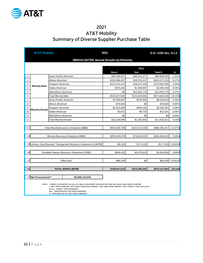

### 2021 AT&T Mobility Summary of Diverse Supplier Purchase Table

|                         | <b>AT&amp;T Mobility</b> |                            |                                                                                                                                                                                                                     | 2021          |               | G.O. #156 Sec. 9.1.2 |               |  |
|-------------------------|--------------------------|----------------------------|---------------------------------------------------------------------------------------------------------------------------------------------------------------------------------------------------------------------|---------------|---------------|----------------------|---------------|--|
|                         |                          |                            | <b>WMDVLGBTBE Annual Results by Ethnicity</b>                                                                                                                                                                       |               |               |                      |               |  |
|                         |                          |                            |                                                                                                                                                                                                                     |               |               |                      |               |  |
|                         |                          |                            |                                                                                                                                                                                                                     |               | 2021          |                      |               |  |
|                         |                          |                            |                                                                                                                                                                                                                     | <b>Direct</b> | Sub           | Total \$             | $\frac{9}{6}$ |  |
| $\mathbf{1}$            |                          | Asian Pacific American     |                                                                                                                                                                                                                     | \$26,438,927  | \$40,511,277  | \$66,950,203         | 1.31%         |  |
| $\overline{2}$          |                          | African American           |                                                                                                                                                                                                                     | \$391,898,107 | \$29,319,127  | \$421,217,233        | 8.27%         |  |
| 3                       |                          | Hispanic American          |                                                                                                                                                                                                                     | \$124,315,143 | \$46,517,438  | \$170,832,580        | 3.35%         |  |
| $\overline{\mathbf{4}}$ | <b>Minority Male</b>     | Native American            |                                                                                                                                                                                                                     | \$375,463     | \$1,909,987   | \$2,285,450          | 0.04%         |  |
| 5                       |                          | Multi-Ethnic American      |                                                                                                                                                                                                                     | \$0           | \$13,562,779  | \$13,562,779         | 0.27%         |  |
| 6                       |                          | <b>Total Minority Male</b> |                                                                                                                                                                                                                     | \$543,027,640 | \$131,820,606 | \$674,848,246        | 13.24%        |  |
| $\overline{7}$          |                          | Asian Pacific American     |                                                                                                                                                                                                                     | \$7,635,587   | \$700,930     | \$8,336,516          | 0.16%         |  |
| 8                       |                          | African American           |                                                                                                                                                                                                                     | \$76,582      | \$0           | \$76,582             | 0.00%         |  |
| 9                       |                          | Hispanic American          |                                                                                                                                                                                                                     | \$2,523,088   | \$683,293     | \$3,206,381          | 0.06%         |  |
| 10                      | <b>Minority Female</b>   | Native American            |                                                                                                                                                                                                                     | \$3,813       | \$8,728       | \$12,541             | 0.00%         |  |
| 11                      |                          | Multi-Ethnic American      |                                                                                                                                                                                                                     | \$0           | \$0           | \$0                  | 0.00%         |  |
| 12                      |                          | Total Minority Female      |                                                                                                                                                                                                                     | \$10,239,069  | \$1,392,952   | \$11,632,021         | 0.23%         |  |
|                         |                          |                            |                                                                                                                                                                                                                     |               |               |                      |               |  |
| 13                      |                          |                            | <b>Total Minority Business Enterprise (MBE)</b>                                                                                                                                                                     | \$553,266,709 | \$133,213,558 | \$686,480,267        | 13.47%        |  |
|                         |                          |                            |                                                                                                                                                                                                                     |               |               |                      |               |  |
| 14                      |                          |                            | Women Business Enterprise (WBE)                                                                                                                                                                                     | \$205,440,070 | \$79,026,032  | \$284,466,103        | 5.58%         |  |
|                         |                          |                            |                                                                                                                                                                                                                     |               |               |                      |               |  |
|                         |                          |                            | 15 Lesbian, Gay, Bisexual, Transgender Business Enterprise (LGBTBE                                                                                                                                                  | \$6,191       | \$171,128     | \$177,319            | 0.003%        |  |
|                         |                          |                            |                                                                                                                                                                                                                     |               |               |                      |               |  |
| 16                      |                          |                            | Disabled Veteran Business Enterprise (DVBE)                                                                                                                                                                         | \$866,431     | \$3,079,624   | \$3,946,056          | 0.08%         |  |
|                         |                          |                            |                                                                                                                                                                                                                     |               |               |                      |               |  |
| 17                      |                          |                            | Other $8(a)^*$                                                                                                                                                                                                      | \$68,209      | \$0           | \$68,209             | 0.001%        |  |
|                         |                          |                            |                                                                                                                                                                                                                     |               |               |                      |               |  |
| 18                      |                          |                            | <b>TOTAL WMDVLGBTBE</b>                                                                                                                                                                                             | \$759,647,610 | \$215,490,343 | \$975,137,953        | 19.14%        |  |
|                         |                          |                            |                                                                                                                                                                                                                     |               |               |                      |               |  |
| 17                      | Net Procurement**        |                            | \$5,095,123,045                                                                                                                                                                                                     |               |               |                      |               |  |
|                         |                          |                            |                                                                                                                                                                                                                     |               |               |                      |               |  |
|                         |                          |                            | NOTE: * FIRMS CLASSIFIED AS 8(a) OF SMALL BUSINESS ADMINISTRATION INCLUDES NON-WMDVLGBTBE<br>** NET PROCUREMENT INCLUDES PURCHASE ORDER, NON-PURCHASE ORDER, AND CREDIT CARD DOLLARS<br>Direct - DIRECT PROCUREMENT |               |               |                      |               |  |

Direct - DIRECT PROCUREMENT<br>Sub - SUBCONTRACTOR PROCUREMENT<br>% - PERCENTAGE OF NET PROCUREMENT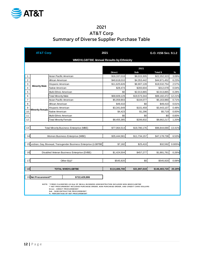

### 2021 AT&T Corp Summary of Diverse Supplier Purchase Table

|                | <b>AT&amp;T Corp</b>   |                              |                                                                                                                        | 2021          |              | G.O. #156 Sec. 9.1.2 |        |
|----------------|------------------------|------------------------------|------------------------------------------------------------------------------------------------------------------------|---------------|--------------|----------------------|--------|
|                |                        |                              | <b>WMDVLGBTBE Annual Results by Ethnicity</b>                                                                          |               |              |                      |        |
|                |                        |                              |                                                                                                                        |               |              |                      |        |
|                |                        |                              |                                                                                                                        |               | 2021         |                      |        |
|                |                        |                              |                                                                                                                        | <b>Direct</b> | Sub          | Total \$             | $\%$   |
| $\mathbf{1}$   |                        | Asian Pacific American       |                                                                                                                        | \$16,337,018  | \$6,015,305  | \$22,352,323         | 3.09%  |
| 2              |                        | African American             |                                                                                                                        | \$40,618,010  | \$4,353,442  | \$44,971,452         | 6.23%  |
| 3              | <b>Minority Male</b>   | Hispanic American            |                                                                                                                        | \$11,625,626  | \$6,907,128  | \$18,532,754         | 2.57%  |
| $\overline{4}$ |                        | Native American              |                                                                                                                        | \$28,474      | \$283,604    | \$312,078            | 0.04%  |
| 5              |                        | Multi-Ethnic American        |                                                                                                                        | \$0           | \$2,013,865  | \$2,013,865          | 0.28%  |
| 6              |                        | <b>Total Minority Male</b>   |                                                                                                                        | \$68,609,129  | \$19,573,344 | \$88,182,472         | 12.21% |
| $\overline{7}$ |                        | Asian Pacific American       |                                                                                                                        | \$5,059,903   | \$104,077    | \$5,163,980          | 0.71%  |
| 8              |                        | African American             |                                                                                                                        | \$49,410      | \$0          | \$49,410             | 0.01%  |
| 9              |                        | Hispanic American            |                                                                                                                        | \$3,341,649   | \$101,459    | \$3,443,107          | 0.48%  |
| 10             | <b>Minority Female</b> | Native American              |                                                                                                                        | \$4,423       | \$1,296      | \$5,719              | 0.00%  |
| 11             |                        | Multi-Ethnic American        |                                                                                                                        | \$0           | \$0          | \$0                  | 0.00%  |
| 12             |                        | <b>Total Minority Female</b> |                                                                                                                        | \$8,455,385   | \$206,832    | \$8,662,217          | 1.20%  |
|                |                        |                              |                                                                                                                        |               |              |                      |        |
| 13             |                        |                              | <b>Total Minority Business Enterprise (MBE)</b>                                                                        | \$77,064,514  | \$19,780,176 | \$96,844,690         | 13.41% |
|                |                        |                              |                                                                                                                        |               |              |                      |        |
| 14             |                        |                              | Women Business Enterprise (WBE)                                                                                        | \$35,444,581  | \$11,734,157 | \$47,178,738         | 6.53%  |
|                |                        |                              |                                                                                                                        |               |              |                      |        |
|                |                        |                              | 15 Lesbian, Gay, Bisexual, Transgender Business Enterprise (LGBTBE)                                                    | \$7,182       | \$25,410     | \$32,592             | 0.005% |
|                |                        |                              |                                                                                                                        |               |              |                      |        |
| 16             |                        |                              | Disabled Veteran Business Enterprise (DVBE)                                                                            | \$1,424,504   | \$457.277    | \$1,881,781          | 0.26%  |
|                |                        |                              |                                                                                                                        |               |              |                      |        |
| 17             |                        |                              | Other $8(a)^*$                                                                                                         | \$545,920     | \$0          | \$545,920            | 0.08%  |
|                |                        |                              |                                                                                                                        |               |              |                      |        |
| 18             |                        |                              | <b>TOTAL WMDVLGBTBE</b>                                                                                                | \$114,486,700 | \$31,997,019 | \$146,483,720        | 20.28% |
|                |                        |                              |                                                                                                                        |               |              |                      |        |
|                | 19 Net Procurement**   |                              | \$722,429,886                                                                                                          |               |              |                      |        |
|                |                        |                              | NOTE: * FIRMS CLASSIFIED AS 8(a) OF SMALL BUSINESS ADMINISTRATION INCLUDES NON-WMDVLGBTBE                              |               |              |                      |        |
|                |                        |                              | ** NET PROCUREMENT INCLUDES PURCHASE ORDER, NON-PURCHASE ORDER, AND CREDIT CARD DOLLARS<br>Direct - DIRECT PROCUREMENT |               |              |                      |        |

Direct - DIRECT PROCUREMENT<br>Sub - SUBCONTRACTOR PROCUREMENT<br>% - PERCENTAGE OF NET PROCUREMENT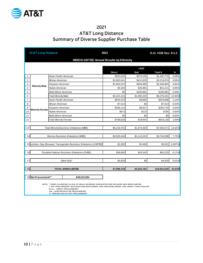

### 2021 AT&T Long Distance Summary of Diverse Supplier Purchase Table

|                | <b>AT&amp;T Long Distance</b> |                            |                                                                                                                                                                                                                     | 2021          | G.O. #156 Sec. 9.1.2 |              |        |  |  |  |
|----------------|-------------------------------|----------------------------|---------------------------------------------------------------------------------------------------------------------------------------------------------------------------------------------------------------------|---------------|----------------------|--------------|--------|--|--|--|
|                |                               |                            | <b>WMDVLGBTBE Annual Results by Ethnicity</b>                                                                                                                                                                       |               |                      |              |        |  |  |  |
|                |                               |                            |                                                                                                                                                                                                                     |               |                      |              |        |  |  |  |
|                |                               |                            |                                                                                                                                                                                                                     |               | $=AS3$               |              |        |  |  |  |
|                |                               |                            |                                                                                                                                                                                                                     | <b>Direct</b> | Sub                  | Total \$     | $\%$   |  |  |  |
| $\mathbf{1}$   |                               | Asian Pacific American     |                                                                                                                                                                                                                     | \$922,620     | \$570,150            | \$1,492,770  | 3.08%  |  |  |  |
| $\overline{2}$ |                               | African American           |                                                                                                                                                                                                                     | \$1,802,041   | \$412,633            | \$2,214,674  | 4.56%  |  |  |  |
| 3              |                               | Hispanic American          |                                                                                                                                                                                                                     | \$1,692,224   | \$654,680            | \$2,346,904  | 4.84%  |  |  |  |
| $\overline{4}$ | <b>Minority Male</b>          | Native American            |                                                                                                                                                                                                                     | \$4,330       | \$26,881             | \$31,211     | 0.06%  |  |  |  |
| 5              |                               | Multi-Ethnic American      |                                                                                                                                                                                                                     | \$0           | \$190,881            | \$190,881    | 0.39%  |  |  |  |
| 6              |                               | <b>Total Minority Male</b> |                                                                                                                                                                                                                     | \$4,421,216   | \$1,855,225          | \$6,276,441  | 12.94% |  |  |  |
| $\overline{7}$ |                               | Asian Pacific American     |                                                                                                                                                                                                                     | \$534,223     | \$9,865              | \$544,088    | 1.12%  |  |  |  |
| 8              |                               | African American           |                                                                                                                                                                                                                     | \$7,514       | \$0                  | \$7,514      | 0.02%  |  |  |  |
| 9              |                               | Hispanic American          |                                                                                                                                                                                                                     | \$256,116     | \$9,617              | \$265,733    | 0.55%  |  |  |  |
| 10             | <b>Minority Female</b>        | Native American            |                                                                                                                                                                                                                     | \$673         | \$123                | \$795        | 0.00%  |  |  |  |
| 11             |                               | Multi-Ethnic American      |                                                                                                                                                                                                                     | \$0           | \$0                  | \$0          | 0.00%  |  |  |  |
| 12             |                               | Total Minority Female      |                                                                                                                                                                                                                     | \$798,526     | \$19,604             | \$818,130    | 1.69%  |  |  |  |
|                |                               |                            |                                                                                                                                                                                                                     |               |                      |              |        |  |  |  |
| 13             |                               |                            | <b>Total Minority Business Enterprise (MBE)</b>                                                                                                                                                                     | \$5,219,742   | \$1,874,829          | \$7,094,571  | 14.62% |  |  |  |
|                |                               |                            |                                                                                                                                                                                                                     |               |                      |              |        |  |  |  |
| 14             |                               |                            | Women Business Enterprise (WBE)                                                                                                                                                                                     | \$2,633,194   | \$1,112,201          | \$3,745,396  | 7.72%  |  |  |  |
|                |                               |                            |                                                                                                                                                                                                                     |               |                      |              |        |  |  |  |
|                |                               |                            | 15 Lesbian, Gay, Bisexual, Transgender Business Enterprise (LGBTBE                                                                                                                                                  | \$1,092       | \$2,408              | \$3,501      | 0.007% |  |  |  |
|                |                               |                            |                                                                                                                                                                                                                     |               |                      |              |        |  |  |  |
| 16             |                               |                            | Disabled Veteran Business Enterprise (DVBE)                                                                                                                                                                         | \$39,883      | \$43,342             | \$83,225     | 0.17%  |  |  |  |
|                |                               |                            |                                                                                                                                                                                                                     |               |                      |              |        |  |  |  |
| 17             |                               |                            | Other $8(a)^*$                                                                                                                                                                                                      | \$4,828       | \$0                  | \$4,828      | 0.01%  |  |  |  |
|                |                               |                            |                                                                                                                                                                                                                     |               |                      |              |        |  |  |  |
| 18             |                               |                            | <b>TOTAL WMDVLGBTBE</b>                                                                                                                                                                                             | \$7,898,739   | \$3,032,781          | \$10,931,520 | 22.53% |  |  |  |
|                |                               |                            |                                                                                                                                                                                                                     |               |                      |              |        |  |  |  |
|                | 19 Net Procurement**          |                            | \$48,515,584                                                                                                                                                                                                        |               |                      |              |        |  |  |  |
|                |                               |                            |                                                                                                                                                                                                                     |               |                      |              |        |  |  |  |
|                |                               |                            | NOTE: * FIRMS CLASSIFIED AS 8(a) OF SMALL BUSINESS ADMINISTRATION INCLUDES NON-WMDVLGBTBE<br>** NET PROCUREMENT INCLUDES PURCHASE ORDER, NON-PURCHASE ORDER, AND CREDIT CARD DOLLARS<br>Direct - DIRECT PROCUREMENT |               |                      |              |        |  |  |  |

Direct - DIRECT PROCUREMENT<br>Sub - SUBCONTRACTOR PROCUREMENT<br>% - PERCENTAGE OF NET PROCUREMENT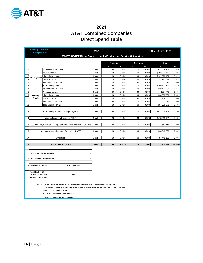

### 2021 AT&T Combined Companies Direct Spend Table

|                | <b>AT&amp;T (Combined</b><br><b>Companies)</b> |                              |                                                                                                                                                                                                                                                        | 2021          |                       |       |                       |       | G.O. #156 Sec. 9.1.2 |        |
|----------------|------------------------------------------------|------------------------------|--------------------------------------------------------------------------------------------------------------------------------------------------------------------------------------------------------------------------------------------------------|---------------|-----------------------|-------|-----------------------|-------|----------------------|--------|
|                |                                                |                              | WMDVLGBTBE Direct Procurement by Product and Service Categories                                                                                                                                                                                        |               |                       |       |                       |       |                      |        |
|                |                                                |                              |                                                                                                                                                                                                                                                        |               |                       |       |                       |       |                      |        |
|                |                                                |                              |                                                                                                                                                                                                                                                        |               | <b>Products</b><br>\$ | %     | <b>Services</b><br>\$ | $\%$  | Total<br>\$          | $\%$   |
| $\overline{1}$ |                                                | Asian Pacific American       |                                                                                                                                                                                                                                                        | Direct        | \$0                   | 0.00% | \$0                   | 0.00% | \$73,095,746         | 0.92%  |
| $\overline{2}$ |                                                | African American             |                                                                                                                                                                                                                                                        | Direct        | \$0                   | 0.00% | \$0                   | 0.00% | \$493,254,773        | 6.22%  |
| 3              |                                                | Hispanic American            |                                                                                                                                                                                                                                                        | Direct        | \$0                   | 0.00% | \$0                   | 0.00% | \$191,829,182        | 2.42%  |
| $\overline{4}$ | <b>Minority Male</b>                           | Native American              |                                                                                                                                                                                                                                                        | Direct        | \$0                   | 0.00% | \$0                   | 0.00% | \$1,293,022          | 0.02%  |
| 5              |                                                | Multi-Ethnic American        |                                                                                                                                                                                                                                                        | Direct        | \$0                   | 0.00% | \$0                   | 0.00% | \$0                  | 0.00%  |
| 6              |                                                | <b>Total Minority Male</b>   |                                                                                                                                                                                                                                                        | Direct        | \$0                   | 0.00% | \$0                   | 0.00% | \$759,472,723        | 9.57%  |
| $\overline{7}$ |                                                | Asian Pacific American       |                                                                                                                                                                                                                                                        | Direct        | \$0                   | 0.00% | \$0                   | 0.00% | \$28,434,668         | 0.36%  |
| 8              |                                                | African American             |                                                                                                                                                                                                                                                        | Direct        | \$0                   | 0.00% | \$0                   | 0.00% | \$334,745            | 0.00%  |
| 9              | Minority                                       | Hispanic American            |                                                                                                                                                                                                                                                        | Direct        | \$0                   | 0.00% | \$0                   | 0.00% | \$28,939,506         | 0.36%  |
| 10             | Female                                         | Native American              |                                                                                                                                                                                                                                                        | Direct        | \$0                   | 0.00% | \$0                   | 0.00% | \$28,057             | 0.00%  |
| 11             |                                                | Multi-Ethnic American        |                                                                                                                                                                                                                                                        | Direct        | \$0                   | 0.00% | \$0                   | 0.00% | \$0                  | 0.00%  |
| 12             |                                                | <b>Total Minority Female</b> |                                                                                                                                                                                                                                                        | Direct        | \$0                   | 0.00% | \$0                   | 0.00% | \$57,736,975         | 0.73%  |
|                |                                                |                              |                                                                                                                                                                                                                                                        |               |                       |       |                       |       |                      |        |
| 13             |                                                |                              | <b>Total Minority Business Enterprise (MBE)</b>                                                                                                                                                                                                        | Direct        | \$0                   | 0.00% | \$0                   | 0.00% | \$817,209,698        | 10.30% |
|                |                                                |                              |                                                                                                                                                                                                                                                        |               |                       |       |                       |       |                      |        |
| 14             |                                                |                              | Women Business Enterprise (WBE)                                                                                                                                                                                                                        | Direct        | \$0                   | 0.00% | \$0                   | 0.00% | \$418,868,181        | 5.28%  |
|                |                                                |                              |                                                                                                                                                                                                                                                        |               |                       |       |                       |       |                      |        |
| 15             |                                                |                              | Lesbian, Gay, Bisexual, Transgender Business Enterprise (LGBTBE)                                                                                                                                                                                       | Direct        | \$0                   | 0.00% | \$0                   | 0.00% | \$43,716             | 0.00%  |
|                |                                                |                              |                                                                                                                                                                                                                                                        |               |                       |       |                       |       |                      |        |
| 16             |                                                |                              | Disabled Veteran Business Enterprise (DVBE)                                                                                                                                                                                                            | Direct        | \$0                   | 0.00% | \$0                   | 0.00% | \$28,949,769         | 0.36%  |
|                |                                                |                              |                                                                                                                                                                                                                                                        |               |                       |       |                       |       |                      |        |
| 17             |                                                |                              | Other $8(a)^*$                                                                                                                                                                                                                                         | Direct        | \$0                   | 0.00% | \$0                   | 0.00% | \$7,449,121          | 0.09%  |
|                |                                                |                              |                                                                                                                                                                                                                                                        |               |                       |       |                       |       |                      |        |
| 18             |                                                |                              | <b>TOTAL WMDVLGBTBE</b>                                                                                                                                                                                                                                | <b>Direct</b> | \$0                   | 0.00% | \$0                   | 0.00% | \$1,272,520,484      | 16.04% |
|                |                                                |                              |                                                                                                                                                                                                                                                        |               |                       |       |                       |       |                      |        |
|                | 17 Total Product Procurement                   |                              |                                                                                                                                                                                                                                                        | \$0           |                       |       |                       |       |                      |        |
|                |                                                |                              |                                                                                                                                                                                                                                                        |               |                       |       |                       |       |                      |        |
|                | 18 Total Service Procurement                   |                              |                                                                                                                                                                                                                                                        | \$0           |                       |       |                       |       |                      |        |
|                |                                                |                              |                                                                                                                                                                                                                                                        |               |                       |       |                       |       |                      |        |
|                | 19 Net Procurement**                           |                              | \$7,933,390,653                                                                                                                                                                                                                                        |               |                       |       |                       |       |                      |        |
|                |                                                |                              |                                                                                                                                                                                                                                                        |               |                       |       |                       |       |                      |        |
|                | <b>Total Number of</b>                         |                              | 276                                                                                                                                                                                                                                                    |               |                       |       |                       |       |                      |        |
|                | WMDVLGBTBEs that<br>Received Direct Spend      |                              |                                                                                                                                                                                                                                                        |               |                       |       |                       |       |                      |        |
|                |                                                |                              | NOTE: * FIRMS CLASSIFIED AS 8(a) OF SMALL BUSINESS ADMINISTRATION INCLUDES NON-WMDVLGBTBE<br>** NET PROCUREMENT INCLUDES PURCHASE ORDER, NON-PURCHASE ORDER, AND CREDIT CARD DOLLARS<br>Direct - DIRECT PROCUREMENT<br>Sub - SUBCONTRACTOR PROCUREMENT |               |                       |       |                       |       |                      |        |
|                |                                                |                              | %- PERCENTAGE OF NET PROCUREMENT                                                                                                                                                                                                                       |               |                       |       |                       |       |                      |        |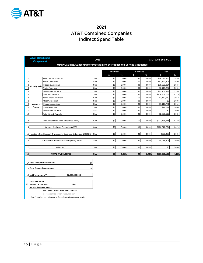

### 2021 AT&T Combined Companies Indirect Spend Table

|                | <b>AT&amp;T (Combined</b><br><b>Companies)</b>                                                                                                          |                              |                                                                                                                                                                                                 | 2021 |                 |       |                 |       | G.O. #156 Sec. 9.1.2 |       |
|----------------|---------------------------------------------------------------------------------------------------------------------------------------------------------|------------------------------|-------------------------------------------------------------------------------------------------------------------------------------------------------------------------------------------------|------|-----------------|-------|-----------------|-------|----------------------|-------|
|                |                                                                                                                                                         |                              | WMDVLGBTBE Subcontractor Procurement by Product and Service Categories                                                                                                                          |      | <b>Products</b> |       | <b>Services</b> |       | <b>Total</b>         |       |
|                |                                                                                                                                                         |                              |                                                                                                                                                                                                 |      | \$              | $\%$  | \$              | $\%$  | \$                   | %     |
| $\mathbf{1}$   |                                                                                                                                                         | Asian Pacific American       |                                                                                                                                                                                                 | Sub  | \$0             | 0.00% | \$0             | 0.00% | \$66,033,556         | 0.83% |
| $\overline{2}$ |                                                                                                                                                         | African American             |                                                                                                                                                                                                 | Sub  | \$0             | 0.00% | \$0             | 0.00% | \$47,790,303         | 0.60% |
| 3              |                                                                                                                                                         | Hispanic American            |                                                                                                                                                                                                 | Sub  | \$0             | 0.00% | \$0             | 0.00% | \$75,823,624         | 0.96% |
| $\overline{4}$ | <b>Minority Male</b>                                                                                                                                    | Native American              |                                                                                                                                                                                                 | Sub  | \$0             | 0.00% | \$0             | 0.00% | \$3,113,287          | 0.04% |
| $\sqrt{5}$     |                                                                                                                                                         | Multi-Ethnic American        |                                                                                                                                                                                                 | Sub  | \$0             | 0.00% | \$0             | 0.00% | \$22,107,388         | 0.28% |
| 6              |                                                                                                                                                         | <b>Total Minority Male</b>   |                                                                                                                                                                                                 | Sub  | \$0             | 0.00% | \$0             | 0.00% | \$214,868,158        | 2.71% |
| $\overline{7}$ |                                                                                                                                                         | Asian Pacific American       |                                                                                                                                                                                                 | Sub  | \$0             | 0.00% | \$0             | 0.00% | \$1,142,519          | 0.01% |
| 8              |                                                                                                                                                         | African American             |                                                                                                                                                                                                 | Sub  | \$0             | 0.00% | \$0             | 0.00% | \$0                  | 0.00% |
| 9              | Minority                                                                                                                                                | Hispanic American            |                                                                                                                                                                                                 | Sub  | \$0             | 0.00% | \$0             | 0.00% | \$1,113,771          | 0.01% |
| 10             | Female                                                                                                                                                  | Native American              |                                                                                                                                                                                                 | Sub  | \$0             | 0.00% | \$0             | 0.00% | \$14,227             | 0.00% |
| 11             |                                                                                                                                                         | Multi-Ethnic American        |                                                                                                                                                                                                 | SUb  | \$0             | 0.00% | \$0             | 0.00% | \$0                  | 0.00% |
| 12             |                                                                                                                                                         | <b>Total Minority Female</b> |                                                                                                                                                                                                 | Sub  | \$0             | 0.00% | \$0             | 0.00% | \$2,270,517          | 0.03% |
|                |                                                                                                                                                         |                              |                                                                                                                                                                                                 |      |                 |       |                 |       |                      |       |
| 13             |                                                                                                                                                         |                              | <b>Total Minority Business Enterprise (MBE)</b>                                                                                                                                                 | Sub  | \$0             | 0.00% | \$0             | 0.00% | \$217,138,675        | 2.74% |
|                |                                                                                                                                                         |                              |                                                                                                                                                                                                 |      |                 |       |                 |       |                      |       |
| 14             |                                                                                                                                                         |                              | Women Business Enterprise (WBE)                                                                                                                                                                 | Sub  | \$0             | 0.00% | \$0             | 0.00% | \$128,812,774        | 1.62% |
| 15             |                                                                                                                                                         |                              | Lesbian, Gay, Bisexual, Transgender Business Enterprise (LGBTBE)                                                                                                                                | Sub  | \$0             | 0.00% | \$0             | 0.00% | \$278,939            | 0.00% |
| 16             |                                                                                                                                                         |                              | Disabled Veteran Business Enterprise (DVBE)                                                                                                                                                     | Sub  | \$0             | 0.00% | \$0             | 0.00% | \$5,019,801          | 0.06% |
| 17             |                                                                                                                                                         |                              | Other $8(a)^*$                                                                                                                                                                                  | Sub  | \$0             | 0.00% | \$0             | 0.00% | \$0                  | 0.00% |
| 18             |                                                                                                                                                         |                              | <b>TOTAL WMDVLGBTBE</b>                                                                                                                                                                         | Sub  | \$0             | 0.00% | \$0             | 0.00% | \$351,250,190        | 4.43% |
| 20             | 17 Total Product Procurement<br>18 Total Service Procurement<br>19 Net Procurement**<br>Total Number of<br>WMDVLGBTBEs that<br>Received Indirect Spend* |                              | \$0<br>\$0<br>\$7,933,390,653<br><b>N/A</b><br>Sub - SUBCONTRACTOR PROCUREMENT<br>%- PERCENTAGE OF NET PROCUREMENT<br>* Tier-2 results are an allocation of the national subcontracting results |      |                 |       |                 |       |                      |       |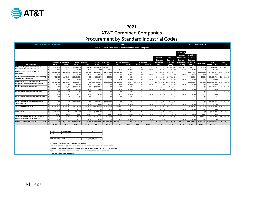

### 2021 AT&T Combined Companies Procurement by Standard Industrial Codes

| <b>AT&amp;T (Combined Companies)</b>               |                                  |              |                         |                    |                          |                                                                 |                    | 2021                   |              |                                         |                                      |                                      |                               |                                      | G. O. #156 Sec 9.1.2 |                        |                 |
|----------------------------------------------------|----------------------------------|--------------|-------------------------|--------------------|--------------------------|-----------------------------------------------------------------|--------------------|------------------------|--------------|-----------------------------------------|--------------------------------------|--------------------------------------|-------------------------------|--------------------------------------|----------------------|------------------------|-----------------|
|                                                    |                                  |              |                         |                    |                          | <b>WMDVLGBTBE Procurement by Standard Industrial Categories</b> |                    |                        |              |                                         |                                      |                                      |                               |                                      |                      |                        |                 |
|                                                    |                                  |              |                         |                    |                          |                                                                 |                    | Minority               | Women        | esbian, Gay<br>Bisexual.<br>Transgender | <b>Disabled</b><br><b>Veterans</b>   |                                      |                               |                                      |                      |                        |                 |
|                                                    | <b>Asian Pacific American</b>    |              | <b>African American</b> |                    | <b>Hispanic American</b> |                                                                 |                    | <b>Native American</b> |              | <b>Multi-Ethnic</b>                     | <b>Business</b><br><b>Enterprise</b> | <b>Business</b><br><b>Enterprise</b> | <b>Business</b><br>Enterprise | <b>Business</b><br><b>Enterprise</b> |                      | Total                  | Total           |
| <b>SIC Category</b>                                | Male                             | Female       | Male                    | Female             | Male                     | Female                                                          | Male               | Female                 | Male         | Female                                  | (MBE)                                | (WBE)                                | (LGBTBE)                      | (DVBE)                               | Other 8(a)**         | <b>WMDVLGBTBE</b>      | <b>Dollars</b>  |
| SIC 15: Building Construction General              | \$183,491                        | \$30,756     | \$2,316,150             | \$7,664            | \$3,284,652              | \$13,448,582                                                    | \$0                | \$0                    | \$0          | \$0                                     | \$19,271,295                         | \$15,843,240                         | \$322,655                     | \$27,797,670                         | \$9,798              | \$63,244,659           | \$299.360.207   |
| <b>Contractors And Operative Builders</b>          | 0.06%                            | 0.019        | 0.77%                   | 0.00%              | 1.10%                    | 4.49%                                                           | 0.00%              | 0.00%                  | 0.00%        | 0.00%                                   | 6.44%                                | 5.29%                                | 0.11%                         | 9.29%                                | 0.00%                | 21.13%                 |                 |
| SIC 17: Construction Special Trade                 | \$6,222,666                      | \$2,233,060  | \$2,730,432             | \$3,499            | \$6,755,199              | \$1,477,156                                                     | \$1,150,477        | \$0                    | \$0          | \$0                                     | \$20,572,490                         | \$46,577,094                         | \$0                           | \$3,677,492                          | \$6,389,001          | \$77,216,077           | \$1,010,096,065 |
| <b>Contractors</b>                                 | 0.62%                            | 0.22%        | 0.27%                   | 0.00%              | 0.67%                    | 0.15%                                                           | 0.11%              | 0.00%                  | 0.00%        | 0.00%                                   | 2.04%                                | 4.61%                                | 0.00%                         | 0.36%                                | 0.63%                | 7.64%                  |                 |
| <b>SIC 35: Industrial And Commercial Machinerv</b> | \$751,998                        | \$11,277,254 | \$12,106,254            | \$0                | \$228.355                | \$2,329                                                         | \$0                | \$0                    | \$0          | \$0                                     | \$24,366,190                         | \$56,773,663                         | \$0                           | \$6,084                              | \$5,856              | \$81,151,792           | \$388,238,470   |
| <b>And Computer Equipment</b>                      | 0.19%                            | 2.90%        | 3.12%                   | 0.00%              | 0.06%                    | 0.00%                                                           | 0.00%              | 0.00%                  | 0.00%        | 0.00%                                   | 6.28%                                | 14.62%                               | 0.00%                         | 0.00%                                | 0.00%                | 20.90%                 |                 |
| SIC 36: Electronic & Other Electrical              | \$62,436,461                     | \$2,931,054  | \$479,322,870           |                    | \$0 \$237,963,869        | \$5,303,224                                                     | \$3,038,925        | \$42,284               | \$22,107,388 | \$0                                     | \$813,146,075                        | \$409,921,300                        | \$0                           | \$2,094,930                          | \$904,308            | \$1,226,066,613        | \$4,560,552,070 |
| Equipment/Components, Except Computer              | 1.37%                            | 0.06%        | 10.519                  | 0.00%              | 5.22%                    | 0.12%                                                           | 0.07%              | 0.00%                  | 0.48%        | 0.00%                                   | 17.83%                               | 8.99%                                | 0.00%                         | 0.05%                                | 0.02%                | 26.88%                 |                 |
| <b>SIC 47: Transportation Services</b>             | \$34                             | \$1,054      | \$9,944,462             | \$0                | \$3,347,596              | \$0                                                             | \$88               | \$0                    | \$0          | \$0                                     | \$13,293,234                         | \$134,576                            | \$0                           | \$0                                  | \$0                  | \$13,427,811           | \$79,718,065    |
|                                                    | 0.00%                            | 0.00%        | 12.47%                  | 0.00%              | 4.20%                    | 0.00%                                                           | 0.00%              | 0.00%                  | 0.00%        | 0.00%                                   | 16.68%                               | 0.17%                                | 0.00%                         | 0.00%                                | 0.00%                | 16.84%                 |                 |
| SIC 50: Wholesale Trade-durable Goods              | \$0                              | \$0          | \$0                     | \$0                | \$0                      | \$0                                                             | \$0                | \$0                    | \$0          | \$0                                     | \$0                                  | \$0                                  | \$0                           | \$0                                  | \$0                  | \$0                    | \$2,509.972     |
|                                                    | 0.00%                            | 0.00%        | 0.00%                   | 0.00%              | 0.00%                    | 0.00%                                                           | 0.00%              | 0.00%                  | 0.00%        | 0.00%                                   | 0.00%                                | 0.00%                                | 0.00%                         | 0.00%                                | 0.00%                | 0.00%                  |                 |
| SIC 51: Wholesale Trade-non-durable Goods          | \$0                              | \$0          | \$0                     | \$0                | \$0                      | \$0                                                             | \$0                | \$0                    | \$0          | \$0                                     | \$0                                  | \$0                                  | \$0                           | \$0                                  | \$0                  | \$0                    | \$0             |
| SIC 55: Automotive Dealers And Gasoline            |                                  |              |                         |                    |                          |                                                                 |                    |                        |              |                                         |                                      |                                      |                               |                                      |                      |                        |                 |
| <b>Service Stations</b>                            | \$0                              | \$0          | \$29,047,140            | \$0                | \$143,768                | \$1,061,939                                                     | \$0                | \$0                    | \$0          | \$0                                     | \$30,252,847                         | \$102,835                            | \$0                           | \$0                                  | \$0                  | \$30,355,682           | \$92,710,163    |
| <b>SIC 73: Business Services</b>                   | 0.00%                            | 0.00%        | 31.339                  | 0.00%              | 0.16%                    | 1.15%                                                           | 0.00%              | 0.00%                  | 0.00%        | 0.00%                                   | 32.63%                               | 0.11%                                | 0.00%                         | 0.00%                                | 0.00%                | 32.74%                 |                 |
|                                                    | \$67,896,950<br>5.50%            | \$13,091,088 | \$4,473,239<br>0.36%    | \$323,581<br>0.03% | \$12,834,273<br>1.04%    | \$8,697,427<br>0.70%                                            | \$216,819<br>0.02% | \$0<br>0.00%           | \$0          | \$0<br>0.00%                            | \$107,533,376<br>8.71%               | \$15,184,524<br>1.23%                | \$0<br>0.00%                  | \$393,394<br>0.03%                   | \$125,803<br>0.01%   | \$123,237,098<br>9.98% | \$1,234,957,287 |
| SIC 81: Legal                                      | \$858,327                        | 1.06%<br>\$0 | \$315,873               | \$0                | \$1,433,533              | \$0                                                             | \$0                | \$0                    | 0.00%<br>\$0 | \$0                                     | \$2,607,733                          | \$377,137                            | \$0                           |                                      | \$0                  | \$2,984,870            | \$39,592,704    |
|                                                    | 2.17%                            | 0.00%        | 0.80%                   | 0.00%              | 3.62%                    | 0.00%                                                           | 0.00%              | 0.00%                  | 0.00%        | 0.00%                                   | 6.59%                                | 0.95%                                | 0.00%                         | 0.00%                                | 0.00%                | 7.54%                  |                 |
| SIC 87: Engineering, Accounting, Research,         | \$779,374                        | \$12,920     | \$788,658               | \$0                | \$1,661,561              | \$62,619                                                        | \$0                | \$0                    | \$0          | \$0                                     | \$3,305,133                          | \$2,766,585                          | \$0                           | \$0                                  | \$14,355             | \$6,086,073            | \$225,655,651   |
| <b>Management, And Related Services</b>            | 0.35%                            | 0.01%        | 0.35%                   | 0.00%              | 0.74%                    | 0.03%                                                           | 0.00%              | 0.00%                  | 0.00%        | 0.00%                                   | 1.46%                                | 1.23%                                | 0.00%                         | 0.00%                                | 0.01%                | 2.70%                  |                 |
| <b>GROSS PRODUCTS/SERVICES PROCUREMENT</b>         | \$139,129,301                    | \$29,577,186 | \$541.045.076           | \$334.745          | \$267,652,806            | \$30,053,277                                                    | \$4,406,309        | \$42.284               | \$22.107.388 |                                         | \$0 \$1,034,348,373                  | \$547,680,955                        | \$322.655                     | \$33,969,570                         | \$7,449,121          | \$1,623,770,674        | \$7,933,390,653 |
|                                                    | 1.75%                            | 0.37%        | 6.82%                   | 0.00%              | 3.37%                    | 0.38%                                                           | 0.06%              | 0.00%                  | 0.28%        | 0.00%                                   | 13.04%                               | 6.90%                                | 0.004%                        | 0.43%                                | 0.094%               | 20.47%                 |                 |
|                                                    |                                  |              |                         |                    |                          |                                                                 |                    |                        |              |                                         |                                      |                                      |                               |                                      |                      |                        |                 |
|                                                    | <b>Total Product Procurement</b> |              |                         |                    | n/a                      |                                                                 |                    |                        |              |                                         |                                      |                                      |                               |                                      |                      |                        |                 |
|                                                    | <b>Total Service Procurement</b> |              |                         |                    | n/a                      |                                                                 |                    |                        |              |                                         |                                      |                                      |                               |                                      |                      |                        |                 |
|                                                    | Net Procurement***               |              |                         |                    | \$7,933,390,653          |                                                                 |                    |                        |              |                                         |                                      |                                      |                               |                                      |                      |                        |                 |

**NOTE:\*FIRMS WITH MULIT MINORITY OWNERSHIP STATUS**

**\*\*FIRMS CLASSIFIED AS 8(a) OF SMALL BUSINESS ADMINISTRATION INCLUDES NON-WMDVLGBTBE**

**\*\*\*NET PROCUREMENT INCLUDES PURCHASE ORDER, NON-PURCHASE ORDER, AND CREDIT CARD DOLLARS**

**TOTAL DOLLARS - TOTAL PROCUREMENT DOLLAR AMOUNT IN THE SPECIFIC SIC CATEGORY** 

**% - PERCENTAGE OF TOTAL DOLLARS**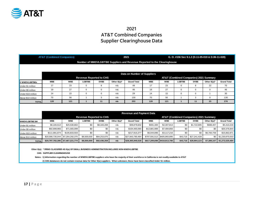

### 2021 AT&T Combined Companies Supplier Clearinghouse Data

|                       | <b>AT&amp;T (Combined Companies)</b> |                 |               | G. O. #156 Sec 9.1.2 (D.11-05-019 & D.06-11-028)<br>2021 |                |                                                                          |                             |                             |                |                                        |                |                    |
|-----------------------|--------------------------------------|-----------------|---------------|----------------------------------------------------------|----------------|--------------------------------------------------------------------------|-----------------------------|-----------------------------|----------------|----------------------------------------|----------------|--------------------|
|                       |                                      |                 |               |                                                          |                | Number of WMDVLGBTBE Suppliers and Revenue Reported to the Clearinghouse |                             |                             |                |                                        |                |                    |
|                       |                                      |                 |               |                                                          |                |                                                                          |                             |                             |                |                                        |                |                    |
|                       |                                      |                 |               |                                                          |                | Data on Number of Suppliers                                              |                             |                             |                |                                        |                |                    |
|                       |                                      |                 |               | <b>Revenue Reported to CHS</b>                           |                |                                                                          |                             |                             |                | AT&T (Combined Companies) 2021 Summary |                |                    |
| <b># WMDVLGBTBEs</b>  | <b>MBE</b>                           | <b>WBE</b>      | <b>LGBTBE</b> | <b>DVBE</b>                                              | Other $8(a)^*$ | <b>Grand Total</b>                                                       | <b>MBE</b>                  | <b>WBE</b>                  | <b>LGBTBE</b>  | <b>DVBE</b>                            | Other 8(a)*    | <b>Grand Total</b> |
| Under \$1 million     | 17                                   | 23              | $\mathbf 0$   | 8                                                        | n/a            | 48                                                                       | 17                          | 23                          | $\mathbf 0$    | 8                                      | 22             | 70                 |
| Under \$5 million     | 19                                   | 27              | $\mathbf 0$   | $\mathbf 0$                                              | n/a            | 46                                                                       | 19                          | 27                          | $\mathbf 0$    | $\mathbf 0$                            | $\mathbf 0$    | 46                 |
| Under \$10 million    | 14                                   | 15              | $\mathbf 0$   | $\mathbf 0$                                              | n/a            | 29                                                                       | 14                          | 15                          | $\mathbf 0$    | $\mathbf 0$                            | $\overline{1}$ | 30                 |
| Above \$10 million    | 70                                   | 56              |               | 3                                                        | n/a            | 130                                                                      | 70                          | 56                          |                | 3                                      | $\mathbf 0$    | 130                |
| <b>TOTAL</b>          | 120                                  | 121             |               | 11                                                       | n/a            | 253                                                                      | 120                         | 121                         | $\overline{1}$ | 11                                     | 23             | 276                |
|                       |                                      |                 |               |                                                          |                |                                                                          |                             |                             |                |                                        |                |                    |
|                       |                                      |                 |               |                                                          |                |                                                                          |                             |                             |                |                                        |                |                    |
|                       |                                      |                 |               |                                                          |                | <b>Revenue and Payment Data</b>                                          |                             |                             |                |                                        |                |                    |
|                       |                                      |                 |               | <b>Revenue Reported to CHS</b>                           |                |                                                                          |                             |                             |                | AT&T (Combined Companies) 2021 Summary |                |                    |
| <b>WMDVLGBTBE \$M</b> | <b>MBE</b>                           | <b>WBE</b>      | <b>LGBTBE</b> | <b>DVBE</b>                                              | Other 8(a)*    | <b>Grand Total</b>                                                       | <b>MBE</b>                  | <b>WBE</b>                  | <b>LGBTBE</b>  | <b>DVBE</b>                            | Other 8(a)*    | <b>Grand Total</b> |
| Under \$1 million     | \$6,165,512                          | \$25,530,802    | \$0           | \$8,183,288                                              | n/a            | \$39,879,602                                                             | \$691,300                   | \$2,307,813                 | \$0            | \$1,722,695                            | \$688,407      | \$5,410,216        |
| Under \$5 million     | \$92,899,966                         | \$71,565,099    | \$0           | \$0                                                      | n/a            | \$164,465,065                                                            | \$12,881,989                | \$7,494,856                 | \$0            | \$0                                    | \$0            | \$20,376,844       |
| Under \$10 million    | \$111,981,874                        | \$105,833,503   | \$0           | \$0                                                      | n/a            | \$217,815,377                                                            | \$6,044,896                 | \$3,117,216                 | \$0            | \$0                                    | \$6,700,759    | \$15,862,871       |
| Above \$10 million    | \$20,586,735,044                     | \$7,264,292,370 | \$8,500,000   | \$84,253,070                                             | n/a            | \$27,943,780,484                                                         | \$797,591,513 \$405,993,895 |                             | \$43,716       | \$27,241,428                           | \$0            | \$1,230,870,553    |
| <b>TOTAL</b>          | \$20,797,782,396 \$7,467,221,774     |                 | \$8,500,000   | \$92,436,358                                             | n/a            | \$28.365.940.528                                                         |                             | \$817,209,698 \$418,913,780 | \$43,716       | \$28,964,123                           | \$7,389,167    | \$1,272,520,484    |

 **Other 8(a): \* FIRMS CLASSIFIED AS 8(a) OF SMALL BUSINESS ADMINISTRATION INCLUDES NON-WMDVLGBTBE**

**CHS: SUPPLIER CLEARINGHOUSE**

**Notes: 1) Information regarding the number of WMDVLGBTBE suppliers who have the majority of their workforce in California is not readily available to AT&T**

**2) CHS databases do not contain revenue data for Other 8(a) suppliers. When unknown, these have been classified Under \$1 million.**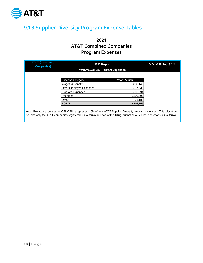

# <span id="page-18-0"></span>9.1.3 Supplier Diversity Program Expense Tables

2021 AT&T Combined Companies Program Expenses

| <b>AT&amp;T (Combined</b><br><b>Companies</b> ) | 2021 Report                                                                                                                                                                                                                                                     |               | G.O. #156 Sec. 9.1.3 |
|-------------------------------------------------|-----------------------------------------------------------------------------------------------------------------------------------------------------------------------------------------------------------------------------------------------------------------|---------------|----------------------|
|                                                 | <b>WMDVLGBTBE Program Expenses</b>                                                                                                                                                                                                                              |               |                      |
|                                                 | <b>Expense Category</b>                                                                                                                                                                                                                                         | Year (Actual) |                      |
|                                                 | Wages & Benefits                                                                                                                                                                                                                                                | \$360.143     |                      |
|                                                 | Other Employee Expenses                                                                                                                                                                                                                                         | \$17,532      |                      |
|                                                 | Program Expenses                                                                                                                                                                                                                                                | \$66,694      |                      |
|                                                 | Reporting                                                                                                                                                                                                                                                       | \$200,597     |                      |
|                                                 | Other                                                                                                                                                                                                                                                           | \$1,189       |                      |
|                                                 | <b>TOTAL</b>                                                                                                                                                                                                                                                    | \$646,155     |                      |
|                                                 | Note: Program expenses for CPUC filling represent 19% of total AT&T Supplier Diversity program expenses. This allocation<br>includes only the AT&T companies registered in California and part of this filling, but not all AT&T Inc. operations in California. |               |                      |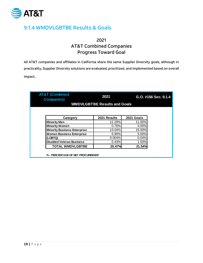

# <span id="page-19-0"></span>9.1.4 WMDVLGBTBE Results & Goals

### 2021 AT&T Combined Companies Progress Toward Goal

All AT&T companies and affiliates in California share the same Supplier Diversity goals, although in practicality, Supplier Diversity solutions are evaluated, prioritized, and implemented based on overall impact.

| <b>AT&amp;T (Combined</b><br><b>Companies)</b> | 2021                                | G.O. #156 Sec. 9.1.4 |  |  |  |
|------------------------------------------------|-------------------------------------|----------------------|--|--|--|
|                                                | <b>WMDVLGBTBE Results and Goals</b> |                      |  |  |  |
|                                                |                                     |                      |  |  |  |
| Category                                       | 2021 Results                        | 2021 Goals           |  |  |  |
| <b>Minority Men</b>                            | 12.28%                              | 11.00%               |  |  |  |
| <b>Minority Women</b>                          | 0.76%                               | 4.00%                |  |  |  |
| <b>Minority Business Enterprise</b>            | 13.04%                              | 15.00%               |  |  |  |
| <b>Women Business Enterprise</b>               | 6.90%                               | 5.00%                |  |  |  |
| (LGBTQ)                                        | 0.004%                              | 0.04%                |  |  |  |
| <b>Disabled Veteran Business</b>               | 0.43%                               | 1.50%                |  |  |  |
|                                                | 20.47%                              | 21.54%               |  |  |  |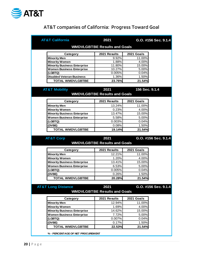

# AT&T companies of California: Progress Toward Goal

| <b>AT&amp;T California</b>                      | 2021                                        | G.O. #156 Sec. 9.1.4           |  |
|-------------------------------------------------|---------------------------------------------|--------------------------------|--|
|                                                 | <b>WMDVLGBTBE Results and Goals</b>         |                                |  |
| Category                                        | 2021 Results                                | 2021 Goals                     |  |
| <b>Minority Men</b>                             | 9.92%                                       | 11.00%                         |  |
| <b>Minority Women</b>                           | 1.88%                                       | 4.00%                          |  |
| <b>Minority Business Enterprise</b>             | 11.80%                                      | 15.00%                         |  |
| <b>Women Business Enterprise</b>                | 10.27%                                      | 5.00%                          |  |
| (LGBTQ)                                         | 0.005%                                      | 0.04%                          |  |
| <b>Disabled Veteran Business</b>                | 1.36%                                       | 1.50%                          |  |
| <b>TOTAL WMDVLGBTBE</b>                         | 23.76%                                      | 21.54%                         |  |
| <b>AT&amp;T Mobility</b>                        | 2021<br><b>WMDVLGBTBE Results and Goals</b> | 156 Sec. 9.1.4                 |  |
| Category                                        | 2021 Results                                | 2021 Goals                     |  |
|                                                 |                                             |                                |  |
| <b>Minority Men</b>                             | 13.24%                                      | 11.00%                         |  |
| <b>Minority Women</b>                           | 0.23%                                       | 4.00%                          |  |
| <b>Minority Business Enterprise</b>             | 13.47%                                      | 15.00%                         |  |
| <b>Women Business Enterprise</b>                | 5.58%                                       | 5.00%                          |  |
|                                                 | 0.003%                                      | 0.04%                          |  |
| (LGBTQ)                                         |                                             |                                |  |
| (DVBE)                                          | 0.08%                                       | 1.50%                          |  |
| <b>TOTAL WMDVLGBTBE</b><br><b>AT&amp;T Corp</b> | 19.14%<br>2021                              | 21.54%<br>G.O. #156 Sec. 9.1.4 |  |
|                                                 | <b>WMDVLGBTBE Results and Goals</b>         |                                |  |
| Category                                        | 2021 Results                                | 2021 Goals                     |  |
| <b>Minority Men</b>                             | 12.21%                                      | 11.00%                         |  |
| <b>Minority Women</b>                           | 1.20%                                       | 4.00%                          |  |
| <b>Minority Business Enterprise</b>             | 13.41%                                      | 15.00%                         |  |
| <b>Women Business Enterprise</b>                | 6.53%                                       | 5.00%                          |  |
| (LGBTQ)                                         | 0.005%                                      | 0.04%                          |  |
| (DVBE)                                          | 0.26%                                       | 1.50%                          |  |
| <b>TOTAL WMDVLGBTBE</b>                         | 20.28%                                      | 21.54%                         |  |
|                                                 | 2021<br><b>WMDVLGBTBE Results and Goals</b> | G.O. #156 Sec. 9.1.4           |  |
| <b>AT&amp;T Long Distance</b><br>Category       | 2021 Results                                | 2021 Goals                     |  |
| <b>Minority Men</b>                             | 12.94%                                      | 11.00%                         |  |
| <b>Minority Women</b>                           | 1.69%                                       | 4.00%                          |  |
| <b>Minority Business Enterprise</b>             | 14.62%                                      | 15.00%                         |  |
| <b>Women Business Enterprise</b>                | 7.72%                                       | 5.00%                          |  |
| (LGBTQ)                                         | 0.007%                                      | 0.04%                          |  |
| (DVBE)                                          | 0.17%                                       | 1.50%                          |  |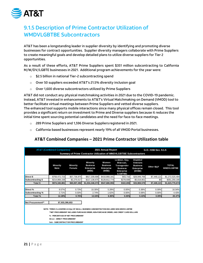

# <span id="page-21-0"></span>9.1.5 Description of Prime Contractor Utilization of WMDVLGBTBE Subcontractors

AT&T has been a longstanding leader in supplier diversity by identifying and promoting diverse businesses for contract opportunities. Supplier diversity managers collaborate with Prime Suppliers to create meaningful goals and develop detailed plans to utilize diverse suppliers for Tier 2 opportunities.

As a result of these efforts, AT&T Prime Suppliers spent \$351 million subcontracting to California M/W/DV/LGBTE businesses in 2021. Additional program achievements for the year were:

- $\circ$  \$2.5 billion in national Tier-2 subcontracting spend
- o Over 50 suppliers exceeded AT&T's 21.5% diversity inclusion goal
- $\circ$  Over 1,600 diverse subcontractors utilized by Prime Suppliers

AT&T did not conduct any physical matchmaking activities in 2021 due to the COVID-19 pandemic. Instead, AT&T invested in enhancements to AT&T's Virtual Matchmaking on Demand (VMOD) tool to better facilitate virtual meetings between Prime Suppliers and vetted diverse suppliers. The enhanced tool supports mobile interactions since many physical offices remain closed. This tool provides a significant return on investment to Prime and Diverse suppliers because it reduces the initial time spent sourcing potential candidates and the need for face-to-face meetings.

- o 289 Prime Suppliers and 1,596 Diverse Suppliers registered in 2021.
- o California‐based businesses represent nearly 19% of all VMOD Portal businesses.

### **AT&T Combined Companies – 2021 Prime Contractor Utilization table**

|                                                                                                                                                                                                                                                                                                                                   | <b>AT&amp;T (Combined Companies)</b> |                           |                                                                      | 2021 Annual Report                              |                                                                                        | G.O. #156 Sec. 9.1.5                                                                 |             |                                   |  |  |  |
|-----------------------------------------------------------------------------------------------------------------------------------------------------------------------------------------------------------------------------------------------------------------------------------------------------------------------------------|--------------------------------------|---------------------------|----------------------------------------------------------------------|-------------------------------------------------|----------------------------------------------------------------------------------------|--------------------------------------------------------------------------------------|-------------|-----------------------------------|--|--|--|
|                                                                                                                                                                                                                                                                                                                                   |                                      |                           | Summary of Prime Contractor Utilization of WMDVLGBTBE Subcontractors |                                                 |                                                                                        |                                                                                      |             |                                   |  |  |  |
|                                                                                                                                                                                                                                                                                                                                   | <b>Minority</b><br>Male              | <b>Minority</b><br>Female | <b>Minority</b><br><b>Business</b><br><b>Enterprise</b><br>(MBE)     | Women<br><b>Business</b><br>Enterprise<br>(WBE) | Lesbian, Gay,<br>Bisexual.<br>Transgender<br><b>Business</b><br>Enterprise<br>(LGBTBE) | <b>Disabled</b><br><b>Veterans</b><br><b>Business</b><br><b>Enterprise</b><br>(DVBE) | Other 8(a)* | <b>TOTAL</b><br><b>WMDVLGBTBE</b> |  |  |  |
| Direct \$                                                                                                                                                                                                                                                                                                                         | \$759,472,723                        | \$57,736,975              | \$817,209,698                                                        | \$418,868,181                                   | \$43,716                                                                               | \$28,949,769                                                                         | \$7,449,121 | \$1,272,520,484                   |  |  |  |
| Subcontracting \$                                                                                                                                                                                                                                                                                                                 | \$214,868,158<br>\$2,270,517         |                           | \$217,138,675                                                        | \$128,812,774                                   | \$278,939                                                                              | \$5,019,801                                                                          | \$0         | \$351,250,190                     |  |  |  |
| Total \$                                                                                                                                                                                                                                                                                                                          | \$1,034,348,373                      | \$547,680,955             | \$322,655                                                            | \$33,969,570                                    | \$7,449,121                                                                            | \$1,623,770,674                                                                      |             |                                   |  |  |  |
|                                                                                                                                                                                                                                                                                                                                   |                                      |                           |                                                                      |                                                 |                                                                                        |                                                                                      |             |                                   |  |  |  |
| Direct%                                                                                                                                                                                                                                                                                                                           | 9.57%                                | 0.73%                     | 10.30%                                                               | 5.28%                                           | 0.00%                                                                                  | 0.36%                                                                                | 0.09%       | 16.04%                            |  |  |  |
| Subcontracting %                                                                                                                                                                                                                                                                                                                  | 2.71%                                | 0.03%                     | 2.74%                                                                | 1.62%                                           | 0.00%                                                                                  | 0.06%                                                                                | 0.00%       | 4.43%                             |  |  |  |
| Total %                                                                                                                                                                                                                                                                                                                           | <b>12.28%</b>                        | 0.76%                     | <b>13.04%</b>                                                        | 6.90%                                           | 0.00%                                                                                  | 0.43%                                                                                | 0.09%       | 20.47%                            |  |  |  |
| Net Procurement**<br>\$7,933,390,653<br>NOTE: *FIRMS CLASSIFIED AS 8(a) OF SMALL BUSINESS ADMINISTRATION INCLUDES NON-WMDVLGBTBE<br>**NET PROCUREMENT INCLUDES PURCHASE ORDER. NON-PURCHASE ORDER. AND CREDIT CARD DOLLARS<br>% - PERCENTAGE OF NET PROCUREMENT<br>Direct - DIRECT PROCUREMENT<br>Sub - SUBCONTRACTOR PROCUREMENT |                                      |                           |                                                                      |                                                 |                                                                                        |                                                                                      |             |                                   |  |  |  |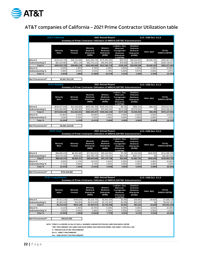

# AT&T companies of California – 2021 Prime Contractor Utilization table

|                             | <b>AT&amp;T California</b>                                                               |                                  | Summary of Prime Contractor Utilization of WMDVLGBTBE Subcontractors | 2021 Annual Report                                     |                                                                                               |                                                                               | G.O. #156 Sec. 9.1.5 |                                   |
|-----------------------------|------------------------------------------------------------------------------------------|----------------------------------|----------------------------------------------------------------------|--------------------------------------------------------|-----------------------------------------------------------------------------------------------|-------------------------------------------------------------------------------|----------------------|-----------------------------------|
|                             | Minority<br>Male                                                                         | <b>Minority</b><br><b>Female</b> | Minority<br><b>Business</b><br><b>Enterprise</b><br>(MBE)            | Women<br><b>Business</b><br><b>Enterprise</b><br>(WBE) | Lesbian, Gay,<br>Bisexual,<br>Transgender<br><b>Business</b><br><b>Enterprise</b><br>(LGBTBE) | <b>Disabled</b><br>Veterans<br><b>Business</b><br>Enterprise<br>(DVBE)        | Other 8(a)*          | <b>TOTAL</b><br><b>WMDVLGBTBE</b> |
| Direct \$                   | \$143,414,739                                                                            | \$38,243,995                     | \$181,658,733                                                        | \$175,350,335                                          | \$29,251                                                                                      | \$26,618,951                                                                  | \$6,830,165          | \$390,487,435                     |
| Subcontracting \$           | \$61,618,983                                                                             | \$651,129                        | \$62,270,113                                                         | \$36,940,384                                           | \$79,993                                                                                      | \$1,439,557                                                                   | \$0                  | \$100,730,047                     |
| Total \$                    | \$205,033,722                                                                            | \$38,895,124                     | \$243,928,846                                                        | \$212,290,719                                          | \$109,244                                                                                     | \$28,058,508                                                                  | \$6,830,165          | \$491,217,481                     |
| Direct%                     | 6.94%                                                                                    | 1.85%                            | 8.79%                                                                | 8.48%                                                  | 0.00%                                                                                         | 1.29%                                                                         | 0.33%                | 18.89%                            |
| <b>Subcontracting %</b>     | 2.98%                                                                                    | 0.03%                            | 3.01%                                                                | 1.79%                                                  | 0.00%                                                                                         | 0.07%                                                                         | 0.00%                | 4.87%                             |
| Total %                     | 9.92%                                                                                    | 1.88%                            | 11.80%                                                               | 10.27%                                                 | 0.01%                                                                                         | 1.36%                                                                         | 0.33%                | 23.76%                            |
| Net Procurement**           | \$2,067,322,139                                                                          |                                  |                                                                      |                                                        |                                                                                               |                                                                               |                      |                                   |
|                             | <b>AT&amp;T Mobility</b>                                                                 |                                  | Summary of Prime Contractor Utilization of WMDVLGBTBE Subcontractors | 2021 Annual Report                                     |                                                                                               |                                                                               | G.O. #156 Sec. 9.1.5 |                                   |
|                             |                                                                                          |                                  |                                                                      |                                                        |                                                                                               |                                                                               |                      |                                   |
|                             | Minority<br>Male                                                                         | <b>Minority</b><br><b>Female</b> | <b>Minority</b><br><b>Business</b><br><b>Enterprise</b><br>(MBE)     | Women<br><b>Business</b><br><b>Enterprise</b><br>(WBE) | Lesbian, Gay,<br>Bisexual,<br>Transgender<br><b>Business</b><br><b>Enterprise</b><br>(LGBTBE) | <b>Disabled</b><br>Veterans<br><b>Business</b><br><b>Enterprise</b><br>(DVBE) | Other 8(a)*          | <b>TOTAL</b><br>WMDVLGBTBE        |
| Direct \$                   | \$543,027,640                                                                            | \$10,239,069                     | \$553,266,709                                                        | \$205,440,070                                          | \$6,191                                                                                       | \$866,431                                                                     | \$68,209             | \$759,647,610                     |
| Subcontracting \$           | \$131,820,606                                                                            | \$1,392,952                      | \$133,213,558                                                        | \$79,026,032                                           | \$171,128                                                                                     | \$3.079.624                                                                   | \$0                  | \$215,490,343                     |
| Total \$                    | \$674.848.246                                                                            | \$11,632,021                     | \$686,480,267                                                        | \$284.466.103                                          | \$177,319                                                                                     | \$3,946,056                                                                   | \$68,209             | \$975,137,953                     |
| Direct%                     | 10.66%                                                                                   | 0.20%                            | 10.86%                                                               | 4.03%                                                  | 0.00%                                                                                         | 0.02%                                                                         | 0.00%                | 14.91%                            |
| Subcontracting %            | 2.59%                                                                                    | 0.03%                            | 2.61%                                                                | 1.55%                                                  | 0.00%                                                                                         | 0.06%                                                                         | 0.00%                | 4.23%                             |
| Total %                     | 13.24%                                                                                   | 0.23%                            | 13.47%                                                               | 5.58%                                                  | 0.00%                                                                                         | 0.08%                                                                         | 0.00%                | 19.14%                            |
|                             |                                                                                          |                                  |                                                                      |                                                        |                                                                                               |                                                                               |                      |                                   |
| Net Procurement**           | \$5,095,123,045                                                                          |                                  |                                                                      |                                                        |                                                                                               |                                                                               |                      |                                   |
|                             | <b>AT&amp;T Corp</b>                                                                     |                                  |                                                                      | 2021 Annual Report                                     |                                                                                               |                                                                               | G.O. #156 Sec. 9.1.5 |                                   |
|                             |                                                                                          |                                  | Summary of Prime Contractor Utilization of WMDVLGBTBE Subcontractors |                                                        |                                                                                               |                                                                               |                      |                                   |
|                             |                                                                                          |                                  |                                                                      |                                                        |                                                                                               |                                                                               |                      |                                   |
|                             |                                                                                          |                                  |                                                                      |                                                        |                                                                                               |                                                                               |                      |                                   |
|                             |                                                                                          |                                  | <b>Minority</b>                                                      | Women                                                  | Lesbian, Gay,<br>Bisexual,                                                                    | <b>Disabled</b><br>Veterans                                                   |                      |                                   |
|                             | <b>Minority</b>                                                                          | <b>Minority</b>                  | <b>Business</b>                                                      | <b>Business</b>                                        | Transgender                                                                                   | <b>Business</b>                                                               |                      | <b>TOTAL</b>                      |
|                             | Male                                                                                     | Female                           | <b>Enterprise</b><br>(MBE)                                           | <b>Enterprise</b><br>(WBE)                             | <b>Business</b><br><b>Enterprise</b>                                                          | Enterprise<br>(DVBE)                                                          | Other 8(a)*          | <b>WMDVLGBTBE</b>                 |
| Direct \$                   | \$68,609,129                                                                             | \$8,455,385                      | \$77,064,514                                                         | \$35,444,581                                           | (LGBTBE)<br>\$7,182                                                                           | \$1,424,504                                                                   | \$545,920            | \$114,486,700                     |
| <b>Subcontracting \$</b>    | \$19,573,344                                                                             | \$206,832                        | \$19,780,176                                                         | \$11,734,157                                           | \$25,410                                                                                      | \$457,277                                                                     | \$C                  | \$31,997,019                      |
| Total \$                    | \$88,182,472                                                                             | \$8,662,217                      | \$96,844,690                                                         | \$47,178,738                                           | \$32,592                                                                                      | \$1,881,781                                                                   | \$545,920            | \$146,483,720                     |
| Direct%                     | 9.50%                                                                                    | 1.17%                            | 10.67%                                                               | 4.91%                                                  | 0.00%                                                                                         | 0.20%                                                                         | 0.08%                | 15.85%                            |
| Subcontracting %            | 2.71%                                                                                    | 0.03%                            | 2.74%                                                                | 1.62%                                                  | 0.00%                                                                                         | 0.06%                                                                         | 0.00%                | 4.43%                             |
| Total %                     | 12.21%                                                                                   | 1.20%                            | 13.41%                                                               | 6.53%                                                  | 0.00%                                                                                         | 0.26%                                                                         | 0.08%                | 20.28%                            |
| Net Procurement**           | \$722,429,886                                                                            |                                  |                                                                      |                                                        |                                                                                               |                                                                               |                      |                                   |
|                             |                                                                                          |                                  |                                                                      |                                                        |                                                                                               |                                                                               |                      |                                   |
|                             | <b>AT&amp;T Long Distance</b>                                                            |                                  | Summary of Prime Contractor Utilization of WMDVLGBTBE Subcontractors | 2021 Annual Report                                     |                                                                                               |                                                                               | G.O. #156 Sec. 9.1.5 |                                   |
|                             |                                                                                          |                                  |                                                                      |                                                        |                                                                                               |                                                                               |                      |                                   |
|                             |                                                                                          |                                  |                                                                      |                                                        | Lesbian, Gay,                                                                                 | <b>Disabled</b>                                                               |                      |                                   |
|                             |                                                                                          |                                  | <b>Minority</b>                                                      | Women                                                  | Bisexual,                                                                                     | Veterans                                                                      |                      |                                   |
|                             | Minority                                                                                 | <b>Minority</b><br>Female        | <b>Business</b>                                                      | <b>Business</b>                                        | Transgender                                                                                   | <b>Business</b>                                                               | Other 8(a)*          | <b>TOTAL</b><br><b>WMDVLGBTBE</b> |
|                             | Male                                                                                     |                                  | <b>Enterprise</b><br>(MBE)                                           | <b>Enterprise</b><br>(WBE)                             | <b>Business</b><br><b>Enterprise</b>                                                          | Enterprise<br>(DVBE)                                                          |                      |                                   |
|                             |                                                                                          |                                  |                                                                      |                                                        | (LGBTBE)                                                                                      |                                                                               |                      |                                   |
| Direct \$                   | \$4,421,216                                                                              | \$798,526                        | \$5,219,742                                                          | \$2,633,194                                            | \$1,092                                                                                       | \$39,883                                                                      | \$4,828              | \$7,898,739                       |
| <b>Subcontracting \$</b>    | \$1,855,225                                                                              | \$19,604                         | \$1,874,829                                                          | \$1,112,201                                            | \$2,408                                                                                       | \$43,342                                                                      | \$0                  | \$3,032,781                       |
| Total \$                    | \$6,276,441                                                                              | \$818,130                        | \$7,094,571                                                          | \$3,745,396                                            | \$3,501                                                                                       | \$83,225                                                                      | \$4,828              | \$10,931,520                      |
| Direct%<br>Subcontracting % | 9.11%<br>3.82%                                                                           | 1.65%<br>0.04%                   | 10.76%<br>3.86%                                                      | 5.43%<br>2.29%                                         | 0.00%<br>0.00%                                                                                | 0.08%<br>0.09%                                                                | 0.01%<br>0.00%       | 16.28%<br>6.25%                   |
| Total %                     | 12.94%                                                                                   | 1.69%                            | 14.62%                                                               | 7.72%                                                  | 0.01%                                                                                         | 0.17%                                                                         | 0.01%                | 22.53%                            |
|                             |                                                                                          |                                  |                                                                      |                                                        |                                                                                               |                                                                               |                      |                                   |
| Net Procurement**           | \$48,515,584                                                                             |                                  |                                                                      |                                                        |                                                                                               |                                                                               |                      |                                   |
|                             |                                                                                          |                                  |                                                                      |                                                        |                                                                                               |                                                                               |                      |                                   |
|                             | NOTE: *FIRMS CLASSIFIED AS 8(a) OF SMALL BUSINESS ADMINISTRATION INCLUDES NON-WMDVLGBTBE |                                  |                                                                      |                                                        |                                                                                               |                                                                               |                      |                                   |
|                             | **NET PROCUREMENT INCLUDES PURCHASE ORDER, NON-PURCHASE ORDER, AND CREDIT CARD DOLLARS   |                                  |                                                                      |                                                        |                                                                                               |                                                                               |                      |                                   |
|                             | % - PERCENTAGE OF NET PROCUREMENT                                                        |                                  |                                                                      |                                                        |                                                                                               |                                                                               |                      |                                   |
|                             | Direct - DIRECT PROCUREM ENT<br>Sub - SUBCONTRACTOR PROCUREM ENT                         |                                  |                                                                      |                                                        |                                                                                               |                                                                               |                      |                                   |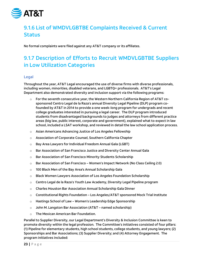

# <span id="page-23-0"></span>9.1.6 List of WMDVLGBTBE Complaints Received & Current **Status**

No formal complaints were filed against any AT&T company or its affiliates.

# <span id="page-23-1"></span>9.1.7 Description of Efforts to Recruit WMDVLGBTBE Suppliers in Low Utilization Categories

#### <span id="page-23-2"></span>Legal

Throughout the year, AT&T Legal encouraged the use of diverse firms with diverse professionals, including women, minorities, disabled veterans, and LGBTQ+ professionals. AT&T's Legal Department also demonstrated diversity and inclusion support via the following programs:

- $\circ$  For the seventh consecutive year, the Western Northern California Region of AT&T cosponsored Centro Legal de la Raza's annual Diversity Legal Pipeline (DLP) program cofounded by AT&T in 2014 to provide a one week-long program for undergrads and recent college graduates interested in pursuing a legal career. The DLP program introduced students from disadvantaged backgrounds to judges and attorneys from different practice areas (big law, public interest, corporate and government), explained what to expect in law school, included a LSAT workshop, and reviewed in detail the law school application process.
- o Asian Americans Advancing Justice of Los Angeles Fellowship
- o Association of Corporate Counsel, Southern California Chapter
- o Bay Area Lawyers for Individual Freedom Annual Gala (LGBT)
- $\circ$  Bar Association of San Francisco Justice and Diversity Center Annual Gala
- o Bar Association of San Francisco Minority Students Scholarship
- $\circ$  Bar Association of San Francisco Women's Impact Network (No Class Ceiling 2.0)
- o 100 Black Men of the Bay Area's Annual Scholarship Gala
- $\circ$  Black Women Lawyers Association of Los Angeles Foundation Scholarship
- $\circ$  Centro Legal de la Raza's Youth Law Academy, Diversity Legal Pipeline program
- o Charles Houston Bar Association Annual Scholarship Gala Dinner
- $\circ$  Constitutional Rights Foundation Los Angeles/AT&T sponsored Mock Trial Institute
- o Hastings School of Law Women's Leadership Edge Sponsorship
- $\circ$  John M. Langston Bar Association (AT&T named scholarship)
- o The Mexican American Bar Foundation.

Parallel to Supplier Diversity, our Legal Department's Diversity & Inclusion Committee is keen to promote diversity within the legal profession. The Committee's initiatives consisted of four pillars: (1) Pipeline for elementary students, high school students, college students, and young lawyers; (2) Sponsorships and Bar Associations; (3) Supplier Diversity; and (4) Attorney Engagement. The program initiatives included: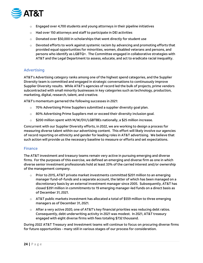

- $\circ$  Engaged over 4,700 students and young attorneys in their pipeline initiatives
- $\circ$  Had over 150 attorneys and staff to participate in DEI activities
- $\circ$  Donated over \$50,000 in scholarships that went directly for student use
- $\circ$  Devoted efforts to work against systemic racism by advancing and promoting efforts that provided equal opportunities for minorities, women, disabled veterans and persons, and persons who identify as LGBTQ+. The Committee engaged in collaborative strategies with AT&T and the Legal Department to assess, educate, and act to eradicate racial inequality.

#### <span id="page-24-0"></span>Advertising

AT&T's Advertising category ranks among one of the highest spend categories, and the Supplier Diversity team is committed and engaged in strategic conversations to continuously improve Supplier Diversity results. While AT&T's agencies of record led the bulk of projects, prime vendors subcontracted with small minority businesses in key categories such as technology, production, marketing, digital, research, talent, and creative.

AT&T's momentum garnered the following successes in 2021:

- $\circ$  70% Advertising Prime Suppliers submitted a supplier diversity goal plan.
- $\circ$  80% Advertising Prime Suppliers met or exceed their diversity inclusion goal.
- $\circ$  \$200 million spent with M/W/DV/LGBTBEs nationally, a \$25 million increase.

Concurrent with our Supplier Diversity efforts, in 2022, we are working to design a process for measuring diverse talent within our advertising content. This effort will likely involve our agencies of record reporting on ethnicity and gender for leading roles in AT&T advertising. We believe that such action will provide us the necessary baseline to measure or efforts and set expectations.

#### <span id="page-24-1"></span>Finance

The AT&T investment and treasury teams remain very active in pursuing emerging and diverse firms. For the purposes of this exercise, we defined an emerging and diverse firm as one in which diverse senior investment professionals hold at least 33% of the carried interest and/or ownership of the management company.

- $\circ$  Prior to 2015, AT&T private market investments committed \$201 million to an emerging manager fund-of-funds and a separate account, the latter of which has been managed on a discretionary basis by an external investment manager since 2005. Subsequently, AT&T has closed \$391 million in commitments to 19 emerging manager-led funds on a direct basis as of December 31, 2021.
- $\circ$  AT&T public markets investment has allocated a total of \$559 million to three emerging managers as of December 31, 2021.
- $\circ$  After a very active 2020, one of AT&T's key financial priorities was reducing debt ratios. Consequently, debt underwriting activity in 2021 was modest. In 2021, AT&T treasury engaged with eight diverse firms with fees totaling \$732 thousand.

During 2022 AT&T Treasury and Investment teams will continue to focus on procuring diverse firms for future opportunities - many still in various stages of our process for consideration.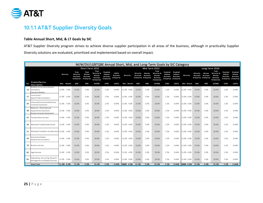

# 10.1.1 AT&T Supplier Diversity Goals

#### **Table Annual Short, Mid, & LT Goals by SIC**

AT&T Supplier Diversity program strives to achieve diverse supplier participation in all areas of the business, although in practicality Supplier Diversity solutions are evaluated, prioritized and implemented based on overall impact.

<span id="page-25-1"></span><span id="page-25-0"></span>

|            | M/W/DV/LGBTQBE Annual Short, Mid, and Long-Term Goals by SIC Category               |               |                                                    |                                                        |                                                                       |                                                                    |                                               |            |                                    |                                                          |                                                                |                                        |                                                                        |            |                             |                                                          |                                                                       |                                                                    |                                                                    |
|------------|-------------------------------------------------------------------------------------|---------------|----------------------------------------------------|--------------------------------------------------------|-----------------------------------------------------------------------|--------------------------------------------------------------------|-----------------------------------------------|------------|------------------------------------|----------------------------------------------------------|----------------------------------------------------------------|----------------------------------------|------------------------------------------------------------------------|------------|-----------------------------|----------------------------------------------------------|-----------------------------------------------------------------------|--------------------------------------------------------------------|--------------------------------------------------------------------|
|            | Long-Term 2024<br>Short-Term 2022<br>Mid-Term 2023                                  |               |                                                    |                                                        |                                                                       |                                                                    |                                               |            |                                    |                                                          |                                                                |                                        |                                                                        |            |                             |                                                          |                                                                       |                                                                    |                                                                    |
|            |                                                                                     | Minority      | Total<br>Minority<br><b>Business</b><br>Enterprise | Total<br>Women<br><b>Business</b><br><b>Enterprise</b> | Total<br>Minority &<br>Women<br><b>Business</b><br><b>Enterprises</b> | <b>Disabled</b><br>Veteran<br><b>Business</b><br><b>Enterprise</b> | <b>LGBTQ</b><br><b>Business</b><br>Enterprise | Minority   | <b>Minority</b><br><b>Business</b> | Women<br><b>Business</b><br><b>Enterprise Enterprise</b> | Total<br>Minority 8<br>Women<br><b>Business</b><br>Enterprises | Disabled<br>Veteran<br><b>Business</b> | Disabled<br>Veteran<br><b>Business</b><br><b>Enterprise Enterprise</b> | Minority   | Minority<br><b>Business</b> | Women<br><b>Business</b><br><b>Enterprise Enterprise</b> | Total<br>Minority &<br>Women<br><b>Business</b><br><b>Enterprises</b> | <b>Disabled</b><br>Veteran<br><b>Business</b><br><b>Enterprise</b> | <b>Disabled</b><br>Veteran<br><b>Business</b><br><b>Enterprise</b> |
| <b>SIC</b> | Product/Service<br><b>Descriptions</b>                                              | Меп<br>Women  | <b>MBE</b>                                         | WBE                                                    | M/WBE                                                                 | <b>DVBE</b>                                                        | <b>LGBTQ</b>                                  | Men Women  | <b>MBE</b>                         | WBE                                                      | M/WBE                                                          | <b>DVBE</b>                            | <b>LGBTQ</b>                                                           | Men Nomen  | <b>MBE</b>                  | <b>WBE</b>                                               | M/WBE                                                                 | <b>DVBE</b>                                                        | <b>LGBTQ</b>                                                       |
| 15         | <b>Building Construction/General</b><br>Contractors<br>perative Builders            | 11.0%<br>4.0% | 15.0%                                              | 5.0%                                                   | 20.0%                                                                 | 1.5%                                                               | 0.04%                                         | 11.0% 4.0% | 15.0%                              | 5.0%                                                     | 20.0%                                                          | 1.5%                                   | 0.04%                                                                  | 11.0% 4.0% | 15.0%                       | 5.0%                                                     | 20.0%                                                                 | 1.5%                                                               | 0.04%                                                              |
| 17         | Construction<br>Special Trade Contractors                                           | 11.0% 4.0%    | 15.0%                                              | 5.0%                                                   | 20.0%                                                                 | 1.5%                                                               | 0.04%                                         | 11.0% 4.0% | 15.0%                              | 5.0%                                                     | 20.0%                                                          | 1.5%                                   | 0.04%                                                                  | 11.0% 4.0% | 15.0%                       | 5.0%                                                     | 20.0%                                                                 | 1.5%                                                               | 0.04%                                                              |
| 35         | ndustrial/Commercial Machinery<br>Computer Equipment                                | 4.0%<br>11.0% | 15.0%                                              | 5.0%                                                   | 20.0%                                                                 | 1.5%                                                               | 0.04%                                         | 11.0% 4.0% | 15.0%                              | 5.0%                                                     | 20.0%                                                          | 1.5%                                   | 0.04%                                                                  | 11.0% 4.0% | 15.0%                       | 5.0%                                                     | 20.0%                                                                 | 1.5%                                                               | 0.04%                                                              |
| 36         | Electronic - Other Electrical<br>Equipment/Components<br>Except Computer Equipment) | 11.0% 4.0%    | 15.0%                                              | 5.0%                                                   | 20.0%                                                                 | 1.5%                                                               | 0.04%                                         | 11.0% 4.0% | 15.0%                              | 5.0%                                                     | 20.0%                                                          | 1.5%                                   | 0.04%                                                                  | 11.0% 4.0% | 15.0%                       | 5.0%                                                     | 20.0%                                                                 | 1.5%                                                               | 0.04%                                                              |
|            | 47 Transportation Services                                                          | 4.0%<br>11.0% | 15.0%                                              | 5.0%                                                   | 20.0%                                                                 | 1.5%                                                               | 0.04%                                         | 11.0% 4.0% | 15.0%                              | 5.0%                                                     | 20.0%                                                          | 1.5%                                   | 0.04%                                                                  | 11.0% 4.0% | 15.0%                       | 5.0%                                                     | 20.0%                                                                 | 1.5%                                                               | 0.04%                                                              |
|            | 50 Wholesale Trade/Durable Goods                                                    | 11.0% 4.0%    | 15.0%                                              | 5.0%                                                   | 20.0%                                                                 | 1.5%                                                               | 0.04%                                         | 11.0% 4.0% | 15.0%                              | 5.0%                                                     | 20.0%                                                          | 1.5%                                   | 0.04%                                                                  | 11.0% 4.0% | 15.0%                       | 5.0%                                                     | 20.0%                                                                 | 1.5%                                                               | 0.04%                                                              |
|            | 51 Wholesale Trade/Non-Durable Good                                                 | 11.0%<br>4.0% | 15.0%                                              | 5.0%                                                   | 20.0%                                                                 | 1.5%                                                               | 0.04%                                         | 11.0% 4.0% | 15.0%                              | 5.0%                                                     | 20.0%                                                          | 1.5%                                   | 0.04%                                                                  | 11.0% 4.0% | 15.0%                       | 5.0%                                                     | 20.0%                                                                 | 1.5%                                                               | 0.04%                                                              |
| 55         | utomotive Dealers<br>Gasoline Service Stations                                      | 11.0% 4.0%    | 15.0%                                              | 5.0%                                                   | 20.0%                                                                 | 1.5%                                                               | 0.04%                                         | 11.0% 4.0% | 15.0%                              | 5.0%                                                     | 20.0%                                                          | 1.5%                                   | 0.04%                                                                  | 11.0% 4.0% | 15.0%                       | 5.0%                                                     | 20.0%                                                                 | 1.5%                                                               | 0.04%                                                              |
|            | 73 Business Services                                                                | 11.0%<br>4.0% | 15.0%                                              | 5.0%                                                   | 20.0%                                                                 | 1.5%                                                               | 0.04%                                         | 11.0% 4.0% | 15.0%                              | 5.0%                                                     | 20.0%                                                          | 1.5%                                   | 0.04%                                                                  | 11.0% 4.0% | 15.0%                       | 5.0%                                                     | 20.0%                                                                 | 1.5%                                                               | 0.04%                                                              |
|            | 81 Legal Services                                                                   | 11.0% 4.0%    | 15.0%                                              | 5.0%                                                   | 20.0%                                                                 | 1.5%                                                               | 0.04%                                         | 11.0% 4.0% | 15.0%                              | 5.0%                                                     | 20.0%                                                          | 1.5%                                   | 0.04%                                                                  | 11.0% 4.0% | 15.0%                       | 5.0%                                                     | 20.0%                                                                 | 1.5%                                                               | 0.04%                                                              |
| 87         | Engineering, Accounting, Research<br>Management and Related Services                | 11.0% 4.0%    | 15.0%                                              | 5.0%                                                   | 20.0%                                                                 | 1.5%                                                               | 0.04%                                         | 11.0% 4.0% | 15.0%                              | 5.0%                                                     | 20.0%                                                          | 1.5%                                   | 0.04%                                                                  | 11.0% 4.0% | 15.0%                       | 5.0%                                                     | 20.0%                                                                 | 1.5%                                                               | 0.04%                                                              |
|            | <b>Grand Total</b>                                                                  | 11.0% 4.0%    | 15.0%                                              | 5.0%                                                   | 20.0%                                                                 | 1.5%                                                               | 0.04%                                         | #### 4.0%  | 15.0%                              | 5.0%                                                     | 20.0%                                                          | 1.5%                                   | 0.04%                                                                  | #### 4.0%  | 15.0%                       | 5.0%                                                     | 20.0%                                                                 | 1.5%                                                               | 0.04%                                                              |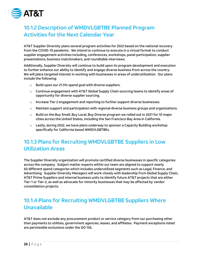

# <span id="page-26-0"></span>10.1.2 Description of WMDVLGBTBE Planned Program Activities for the Next Calendar Year

AT&T Supplier Diversity plans several program activities for 2022 based on the national recovery from the COVID-19 pandemic. We intend to continue to execute in a virtual format to conduct supplier engagement activities including, conferences, workshops, panel participation, supplier presentations, business matchmakers, and roundtable interviews.

Additionally, Supplier Diversity will continue to build upon its program development and execution to further enhance our ability to identify and engage diverse business from across the country. We will place targeted interest in working with businesses in areas of underutilization. Our plans include the following:

- $\circ$  Build upon our 21.5% spend goal with diverse suppliers.
- $\circ$  Continue engagement with AT&T Global Supply Chain sourcing teams to identify areas of opportunity for diverse supplier sourcing.
- $\circ$  Increase Tier 2 engagement and reporting to further support diverse businesses.
- $\circ$  Maintain support and participation with regional diverse business groups and organizations.
- $\circ$  Build on the Buy Small, Buy Local, Buy Diverse program we rolled out in 2021 for 10 major cities across the United States, including the San Francisco Bay Area in California.
- $\circ$  Lastly, during 2022, we have plans underway to sponsor a Capacity Building workshop specifically for California based WMDVLGBTBEs.

# <span id="page-26-1"></span>10.1.3 Plans for Recruiting WMDVLGBTBE Suppliers in Low Utilization Areas

The Supplier Diversity organization will promote certified diverse businesses in specific categories across the company. Subject matter experts within our team are aligned to support nearly 60 different spend categories which includes underutilized segments such as Legal, Finance, and Advertising. Supplier Diversity Managers will work closely with leadership from Global Supply Chain, AT&T Prime Suppliers and internal business units to identify future AT&T projects that are either Tier-1 or Tier-2, as well as advocate for minority businesses that may be affected by vendor consolidation projects.

# <span id="page-26-2"></span>10.1.4 Plans for Recruiting WMDVLGBTBE Suppliers Where Unavailable

AT&T does not exclude any procurement product or service category from our purchasing other than payments to utilities, government agencies, leases, and affiliates. Payment exceptions listed are permissible exclusions under the GO 156.